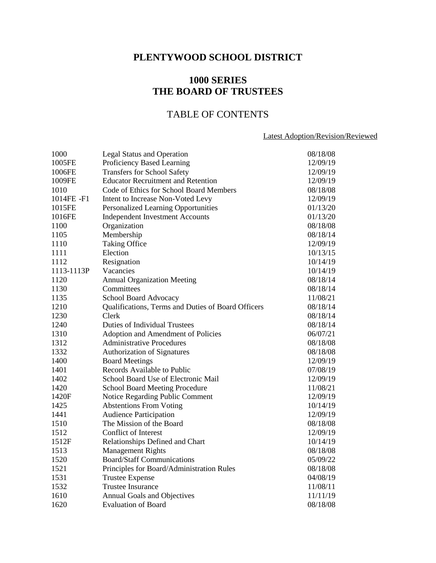# **PLENTYWOOD SCHOOL DISTRICT**

# **1000 SERIES THE BOARD OF TRUSTEES**

# TABLE OF CONTENTS

## Latest Adoption/Revision/Reviewed

| 1000       | <b>Legal Status and Operation</b>                  | 08/18/08 |
|------------|----------------------------------------------------|----------|
| 1005FE     | Proficiency Based Learning                         | 12/09/19 |
| 1006FE     | <b>Transfers for School Safety</b>                 | 12/09/19 |
| 1009FE     | <b>Educator Recruitment and Retention</b>          | 12/09/19 |
| 1010       | Code of Ethics for School Board Members            | 08/18/08 |
| 1014FE-F1  | Intent to Increase Non-Voted Levy                  | 12/09/19 |
| 1015FE     | Personalized Learning Opportunities                | 01/13/20 |
| 1016FE     | <b>Independent Investment Accounts</b>             | 01/13/20 |
| 1100       | Organization                                       | 08/18/08 |
| 1105       | Membership                                         | 08/18/14 |
| 1110       | <b>Taking Office</b>                               | 12/09/19 |
| 1111       | Election                                           | 10/13/15 |
| 1112       | Resignation                                        | 10/14/19 |
| 1113-1113P | Vacancies                                          | 10/14/19 |
| 1120       | <b>Annual Organization Meeting</b>                 | 08/18/14 |
| 1130       | Committees                                         | 08/18/14 |
| 1135       | School Board Advocacy                              | 11/08/21 |
| 1210       | Qualifications, Terms and Duties of Board Officers | 08/18/14 |
| 1230       | Clerk                                              | 08/18/14 |
| 1240       | <b>Duties of Individual Trustees</b>               | 08/18/14 |
| 1310       | Adoption and Amendment of Policies                 | 06/07/21 |
| 1312       | <b>Administrative Procedures</b>                   | 08/18/08 |
| 1332       | Authorization of Signatures                        | 08/18/08 |
| 1400       | <b>Board Meetings</b>                              | 12/09/19 |
| 1401       | Records Available to Public                        | 07/08/19 |
| 1402       | School Board Use of Electronic Mail                | 12/09/19 |
| 1420       | <b>School Board Meeting Procedure</b>              | 11/08/21 |
| 1420F      | Notice Regarding Public Comment                    | 12/09/19 |
| 1425       | <b>Abstentions From Voting</b>                     | 10/14/19 |
| 1441       | <b>Audience Participation</b>                      | 12/09/19 |
| 1510       | The Mission of the Board                           | 08/18/08 |
| 1512       | Conflict of Interest                               | 12/09/19 |
| 1512F      | Relationships Defined and Chart                    | 10/14/19 |
| 1513       | <b>Management Rights</b>                           | 08/18/08 |
| 1520       | <b>Board/Staff Communications</b>                  | 05/09/22 |
| 1521       | Principles for Board/Administration Rules          | 08/18/08 |
| 1531       | <b>Trustee Expense</b>                             | 04/08/19 |
| 1532       | <b>Trustee Insurance</b>                           | 11/08/11 |
| 1610       | <b>Annual Goals and Objectives</b>                 | 11/11/19 |
| 1620       | Evaluation of Board                                | 08/18/08 |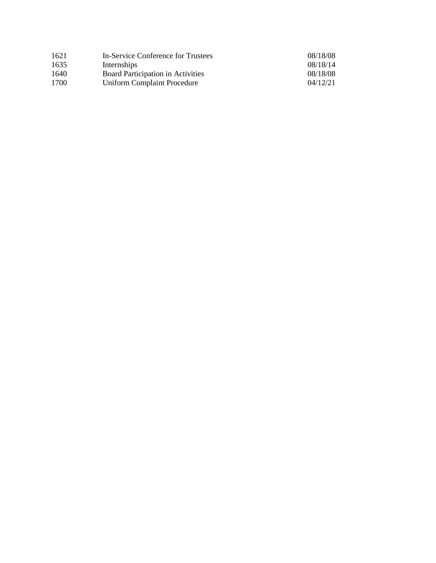| 1621 | In-Service Conference for Trustees | 08/18/08 |
|------|------------------------------------|----------|
| 1635 | Internships                        | 08/18/14 |
| 1640 | Board Participation in Activities  | 08/18/08 |
| 1700 | <b>Uniform Complaint Procedure</b> | 04/12/21 |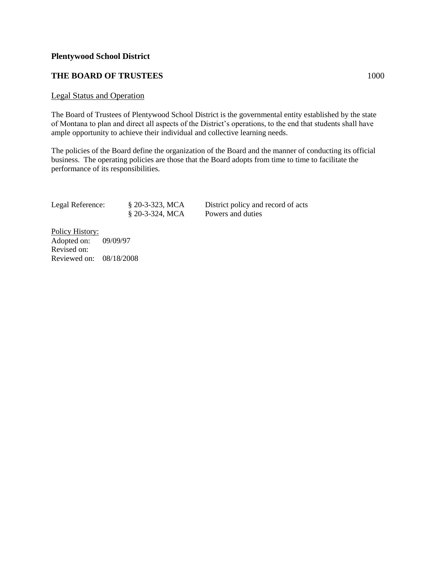## **THE BOARD OF TRUSTEES** 1000

#### Legal Status and Operation

The Board of Trustees of Plentywood School District is the governmental entity established by the state of Montana to plan and direct all aspects of the District's operations, to the end that students shall have ample opportunity to achieve their individual and collective learning needs.

The policies of the Board define the organization of the Board and the manner of conducting its official business. The operating policies are those that the Board adopts from time to time to facilitate the performance of its responsibilities.

| Legal Reference: | $$20-3-323$ , MCA | Distric |
|------------------|-------------------|---------|
|                  | $$20-3-324, MCA$  | Powers  |

t policy and record of acts s and duties

Policy History: Adopted on: 09/09/97 Revised on: Reviewed on: 08/18/2008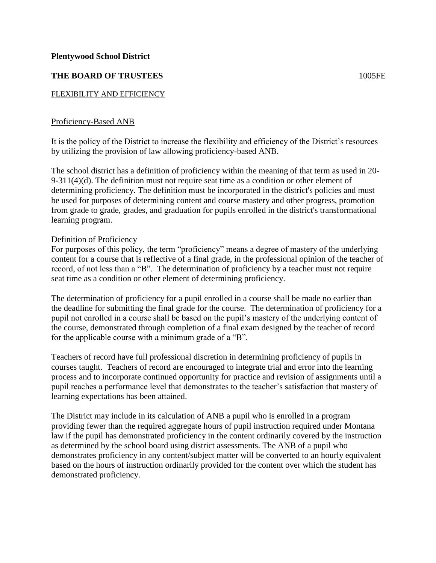## **THE BOARD OF TRUSTEES** 1005FE

## FLEXIBILITY AND EFFICIENCY

### Proficiency-Based ANB

It is the policy of the District to increase the flexibility and efficiency of the District's resources by utilizing the provision of law allowing proficiency-based ANB.

The school district has a definition of proficiency within the meaning of that term as used in 20- 9-311(4)(d). The definition must not require seat time as a condition or other element of determining proficiency. The definition must be incorporated in the district's policies and must be used for purposes of determining content and course mastery and other progress, promotion from grade to grade, grades, and graduation for pupils enrolled in the district's transformational learning program.

### Definition of Proficiency

For purposes of this policy, the term "proficiency" means a degree of mastery of the underlying content for a course that is reflective of a final grade, in the professional opinion of the teacher of record, of not less than a "B". The determination of proficiency by a teacher must not require seat time as a condition or other element of determining proficiency.

The determination of proficiency for a pupil enrolled in a course shall be made no earlier than the deadline for submitting the final grade for the course. The determination of proficiency for a pupil not enrolled in a course shall be based on the pupil's mastery of the underlying content of the course, demonstrated through completion of a final exam designed by the teacher of record for the applicable course with a minimum grade of a "B".

Teachers of record have full professional discretion in determining proficiency of pupils in courses taught. Teachers of record are encouraged to integrate trial and error into the learning process and to incorporate continued opportunity for practice and revision of assignments until a pupil reaches a performance level that demonstrates to the teacher's satisfaction that mastery of learning expectations has been attained.

The District may include in its calculation of ANB a pupil who is enrolled in a program providing fewer than the required aggregate hours of pupil instruction required under Montana law if the pupil has demonstrated proficiency in the content ordinarily covered by the instruction as determined by the school board using district assessments. The ANB of a pupil who demonstrates proficiency in any content/subject matter will be converted to an hourly equivalent based on the hours of instruction ordinarily provided for the content over which the student has demonstrated proficiency.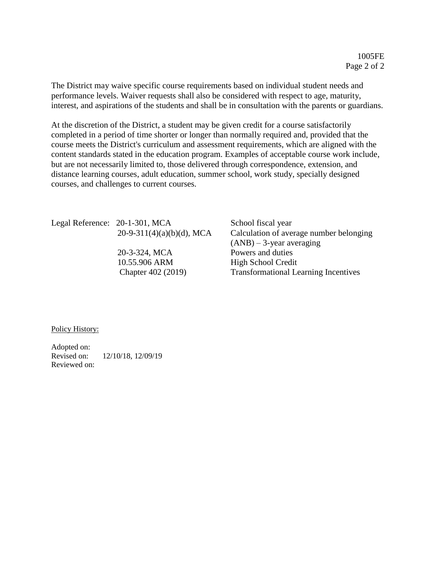The District may waive specific course requirements based on individual student needs and performance levels. Waiver requests shall also be considered with respect to age, maturity, interest, and aspirations of the students and shall be in consultation with the parents or guardians.

At the discretion of the District, a student may be given credit for a course satisfactorily completed in a period of time shorter or longer than normally required and, provided that the course meets the District's curriculum and assessment requirements, which are aligned with the content standards stated in the education program. Examples of acceptable course work include, but are not necessarily limited to, those delivered through correspondence, extension, and distance learning courses, adult education, summer school, work study, specially designed courses, and challenges to current courses.

Legal Reference: 20-1-301, MCA School fiscal year

 20-3-324, MCA Powers and duties 10.55.906 ARM High School Credit

 $20-9-311(4)(a)(b)(d)$ , MCA Calculation of average number belonging  $(ANB) - 3$ -year averaging Chapter 402 (2019) Transformational Learning Incentives

Policy History:

Adopted on: Revised on: 12/10/18, 12/09/19 Reviewed on: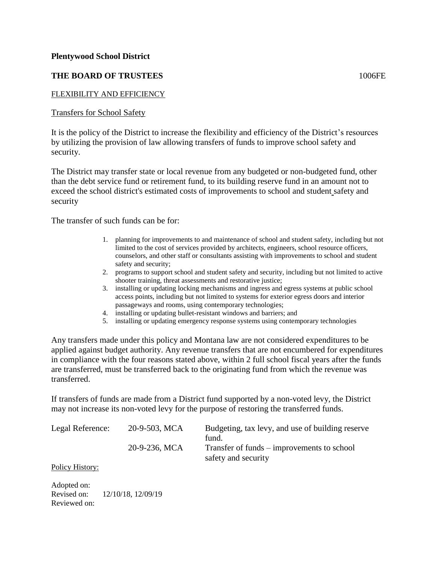## **THE BOARD OF TRUSTEES** 1006FE

## FLEXIBILITY AND EFFICIENCY

Transfers for School Safety

It is the policy of the District to increase the flexibility and efficiency of the District's resources by utilizing the provision of law allowing transfers of funds to improve school safety and security.

The District may transfer state or local revenue from any budgeted or non-budgeted fund, other than the debt service fund or retirement fund, to its building reserve fund in an amount not to exceed the school district's estimated costs of improvements to school and student safety and security

The transfer of such funds can be for:

- 1. planning for improvements to and maintenance of school and student safety, including but not limited to the cost of services provided by architects, engineers, school resource officers, counselors, and other staff or consultants assisting with improvements to school and student safety and security;
- 2. programs to support school and student safety and security, including but not limited to active shooter training, threat assessments and restorative justice;
- 3. installing or updating locking mechanisms and ingress and egress systems at public school access points, including but not limited to systems for exterior egress doors and interior passageways and rooms, using contemporary technologies;
- 4. installing or updating bullet-resistant windows and barriers; and
- 5. installing or updating emergency response systems using contemporary technologies

Any transfers made under this policy and Montana law are not considered expenditures to be applied against budget authority. Any revenue transfers that are not encumbered for expenditures in compliance with the four reasons stated above, within 2 full school fiscal years after the funds are transferred, must be transferred back to the originating fund from which the revenue was transferred.

If transfers of funds are made from a District fund supported by a non-voted levy, the District may not increase its non-voted levy for the purpose of restoring the transferred funds.

| Legal Reference: | 20-9-503, MCA | Budgeting, tax levy, and use of building reserve<br>fund.         |
|------------------|---------------|-------------------------------------------------------------------|
|                  | 20-9-236, MCA | Transfer of funds – improvements to school<br>safety and security |
| $\mathbf{r}$ 1.  |               |                                                                   |

Policy History:

Adopted on: Revised on: 12/10/18, 12/09/19 Reviewed on: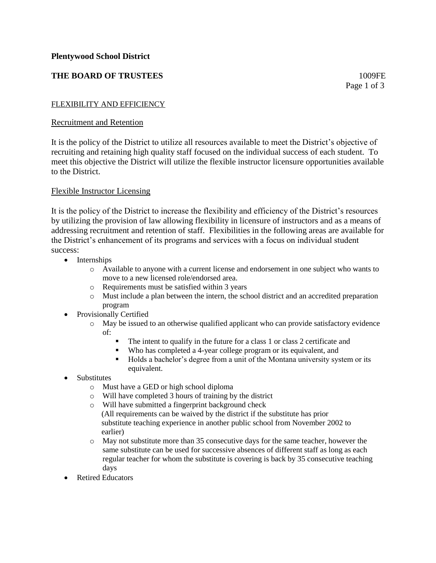## **THE BOARD OF TRUSTEES** 1009FE

Page 1 of 3

### FLEXIBILITY AND EFFICIENCY

### Recruitment and Retention

It is the policy of the District to utilize all resources available to meet the District's objective of recruiting and retaining high quality staff focused on the individual success of each student. To meet this objective the District will utilize the flexible instructor licensure opportunities available to the District.

### Flexible Instructor Licensing

It is the policy of the District to increase the flexibility and efficiency of the District's resources by utilizing the provision of law allowing flexibility in licensure of instructors and as a means of addressing recruitment and retention of staff. Flexibilities in the following areas are available for the District's enhancement of its programs and services with a focus on individual student success:

- Internships
	- o Available to anyone with a current license and endorsement in one subject who wants to move to a new licensed role/endorsed area.
	- o Requirements must be satisfied within 3 years
	- o Must include a plan between the intern, the school district and an accredited preparation program
- Provisionally Certified
	- o May be issued to an otherwise qualified applicant who can provide satisfactory evidence of:
		- The intent to qualify in the future for a class 1 or class 2 certificate and
		- Who has completed a 4-year college program or its equivalent, and
		- Holds a bachelor's degree from a unit of the Montana university system or its equivalent.
- Substitutes
	- o Must have a GED or high school diploma
	- o Will have completed 3 hours of training by the district
	- o Will have submitted a fingerprint background check
		- (All requirements can be waived by the district if the substitute has prior substitute teaching experience in another public school from November 2002 to earlier)
	- o May not substitute more than 35 consecutive days for the same teacher, however the same substitute can be used for successive absences of different staff as long as each regular teacher for whom the substitute is covering is back by 35 consecutive teaching days
- Retired Educators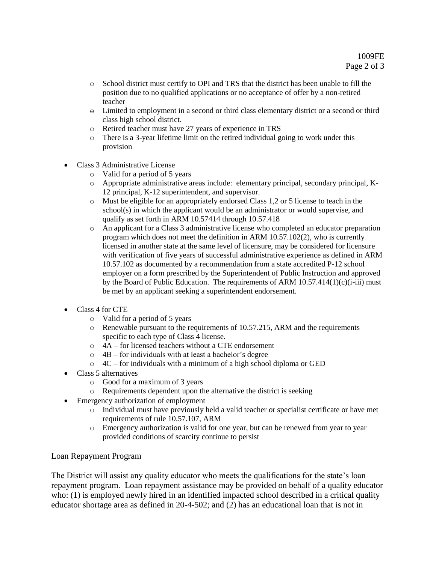- o School district must certify to OPI and TRS that the district has been unable to fill the position due to no qualified applications or no acceptance of offer by a non-retired teacher
- $\Theta$  Limited to employment in a second or third class elementary district or a second or third class high school district.
- o Retired teacher must have 27 years of experience in TRS
- o There is a 3-year lifetime limit on the retired individual going to work under this provision
- Class 3 Administrative License
	- o Valid for a period of 5 years
	- o Appropriate administrative areas include: elementary principal, secondary principal, K-12 principal, K-12 superintendent, and supervisor.
	- o Must be eligible for an appropriately endorsed Class 1,2 or 5 license to teach in the school(s) in which the applicant would be an administrator or would supervise, and qualify as set forth in ARM 10.57414 through 10.57.418
	- o An applicant for a Class 3 administrative license who completed an educator preparation program which does not meet the definition in ARM 10.57.102(2), who is currently licensed in another state at the same level of licensure, may be considered for licensure with verification of five years of successful administrative experience as defined in ARM 10.57.102 as documented by a recommendation from a state accredited P-12 school employer on a form prescribed by the Superintendent of Public Instruction and approved by the Board of Public Education. The requirements of ARM  $10.57.414(1)(c)(i-iii)$  must be met by an applicant seeking a superintendent endorsement.
- Class 4 for CTE
	- o Valid for a period of 5 years
	- o Renewable pursuant to the requirements of 10.57.215, ARM and the requirements specific to each type of Class 4 license.
	- o 4A for licensed teachers without a CTE endorsement
	- $\circ$  4B for individuals with at least a bachelor's degree
	- $\circ$  4C for individuals with a minimum of a high school diploma or GED
- Class 5 alternatives
	- o Good for a maximum of 3 years
	- o Requirements dependent upon the alternative the district is seeking
- Emergency authorization of employment
	- o Individual must have previously held a valid teacher or specialist certificate or have met requirements of rule 10.57.107, ARM
	- o Emergency authorization is valid for one year, but can be renewed from year to year provided conditions of scarcity continue to persist

## Loan Repayment Program

The District will assist any quality educator who meets the qualifications for the state's loan repayment program. Loan repayment assistance may be provided on behalf of a quality educator who: (1) is employed newly hired in an identified impacted school described in a critical quality educator shortage area as defined in 20-4-502; and (2) has an educational loan that is not in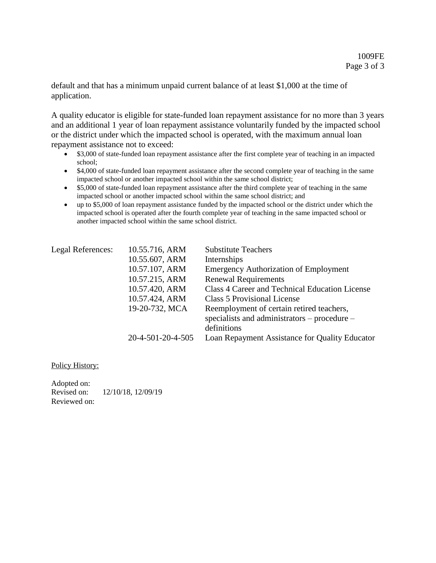default and that has a minimum unpaid current balance of at least \$1,000 at the time of application.

A quality educator is eligible for state-funded loan repayment assistance for no more than 3 years and an additional 1 year of loan repayment assistance voluntarily funded by the impacted school or the district under which the impacted school is operated, with the maximum annual loan repayment assistance not to exceed:

- \$3,000 of state-funded loan repayment assistance after the first complete year of teaching in an impacted school;
- \$4,000 of state-funded loan repayment assistance after the second complete year of teaching in the same impacted school or another impacted school within the same school district;
- \$5,000 of state-funded loan repayment assistance after the third complete year of teaching in the same impacted school or another impacted school within the same school district; and
- up to \$5,000 of loan repayment assistance funded by the impacted school or the district under which the impacted school is operated after the fourth complete year of teaching in the same impacted school or another impacted school within the same school district.

| Legal References: | 10.55.716, ARM    | <b>Substitute Teachers</b>                     |
|-------------------|-------------------|------------------------------------------------|
|                   | 10.55.607, ARM    | Internships                                    |
|                   | 10.57.107, ARM    | <b>Emergency Authorization of Employment</b>   |
|                   | 10.57.215, ARM    | <b>Renewal Requirements</b>                    |
|                   | 10.57.420, ARM    | Class 4 Career and Technical Education License |
|                   | 10.57.424, ARM    | <b>Class 5 Provisional License</b>             |
|                   | 19-20-732, MCA    | Reemployment of certain retired teachers,      |
|                   |                   | specialists and administrators – procedure –   |
|                   |                   | definitions                                    |
|                   | 20-4-501-20-4-505 | Loan Repayment Assistance for Quality Educator |

Policy History:

Adopted on: Revised on: 12/10/18, 12/09/19 Reviewed on: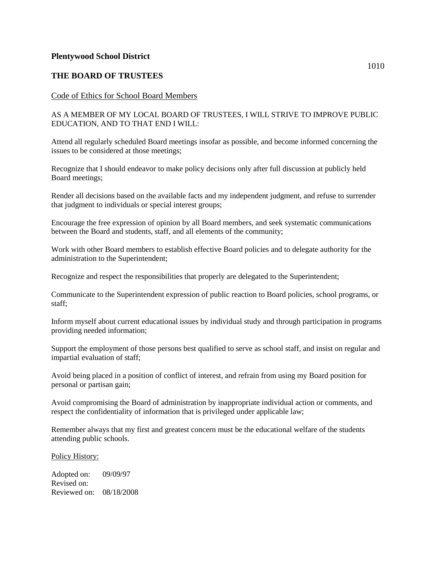## **THE BOARD OF TRUSTEES**

### Code of Ethics for School Board Members

### AS A MEMBER OF MY LOCAL BOARD OF TRUSTEES, I WILL STRIVE TO IMPROVE PUBLIC EDUCATION, AND TO THAT END I WILL:

Attend all regularly scheduled Board meetings insofar as possible, and become informed concerning the issues to be considered at those meetings;

Recognize that I should endeavor to make policy decisions only after full discussion at publicly held Board meetings;

Render all decisions based on the available facts and my independent judgment, and refuse to surrender that judgment to individuals or special interest groups;

Encourage the free expression of opinion by all Board members, and seek systematic communications between the Board and students, staff, and all elements of the community;

Work with other Board members to establish effective Board policies and to delegate authority for the administration to the Superintendent;

Recognize and respect the responsibilities that properly are delegated to the Superintendent;

Communicate to the Superintendent expression of public reaction to Board policies, school programs, or staff;

Inform myself about current educational issues by individual study and through participation in programs providing needed information;

Support the employment of those persons best qualified to serve as school staff, and insist on regular and impartial evaluation of staff;

Avoid being placed in a position of conflict of interest, and refrain from using my Board position for personal or partisan gain;

Avoid compromising the Board of administration by inappropriate individual action or comments, and respect the confidentiality of information that is privileged under applicable law;

Remember always that my first and greatest concern must be the educational welfare of the students attending public schools.

#### Policy History:

Adopted on: 09/09/97 Revised on: Reviewed on: 08/18/2008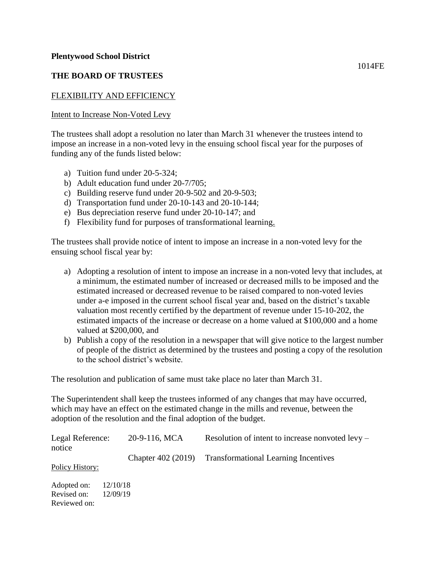## **THE BOARD OF TRUSTEES**

## FLEXIBILITY AND EFFICIENCY

### Intent to Increase Non-Voted Levy

The trustees shall adopt a resolution no later than March 31 whenever the trustees intend to impose an increase in a non-voted levy in the ensuing school fiscal year for the purposes of funding any of the funds listed below:

- a) Tuition fund under 20-5-324;
- b) Adult education fund under 20-7/705;
- c) Building reserve fund under 20-9-502 and 20-9-503;
- d) Transportation fund under 20-10-143 and 20-10-144;
- e) Bus depreciation reserve fund under 20-10-147; and
- f) Flexibility fund for purposes of transformational learning.

The trustees shall provide notice of intent to impose an increase in a non-voted levy for the ensuing school fiscal year by:

- a) Adopting a resolution of intent to impose an increase in a non-voted levy that includes, at a minimum, the estimated number of increased or decreased mills to be imposed and the estimated increased or decreased revenue to be raised compared to non-voted levies under a-e imposed in the current school fiscal year and, based on the district's taxable valuation most recently certified by the department of revenue under 15-10-202, the estimated impacts of the increase or decrease on a home valued at \$100,000 and a home valued at \$200,000, and
- b) Publish a copy of the resolution in a newspaper that will give notice to the largest number of people of the district as determined by the trustees and posting a copy of the resolution to the school district's website.

The resolution and publication of same must take place no later than March 31.

The Superintendent shall keep the trustees informed of any changes that may have occurred, which may have an effect on the estimated change in the mills and revenue, between the adoption of the resolution and the final adoption of the budget.

| Legal Reference:<br>notice                 | 20-9-116, MCA        | Resolution of intent to increase nonvoted $levy -$      |
|--------------------------------------------|----------------------|---------------------------------------------------------|
| Policy History:                            |                      | Chapter 402 (2019) Transformational Learning Incentives |
| Adopted on:<br>Revised on:<br>Reviewed on: | 12/10/18<br>12/09/19 |                                                         |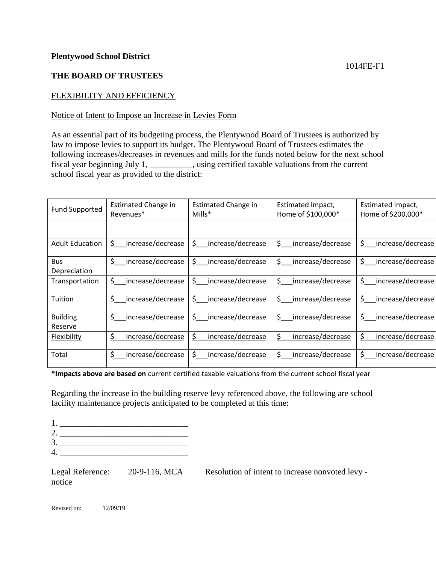## **THE BOARD OF TRUSTEES**

## FLEXIBILITY AND EFFICIENCY

## Notice of Intent to Impose an Increase in Levies Form

As an essential part of its budgeting process, the Plentywood Board of Trustees is authorized by law to impose levies to support its budget. The Plentywood Board of Trustees estimates the following increases/decreases in revenues and mills for the funds noted below for the next school fiscal year beginning July 1, \_\_\_\_\_\_\_\_\_\_, using certified taxable valuations from the current school fiscal year as provided to the district:

| <b>Fund Supported</b> | Estimated Change in             | Estimated Change in                 | Estimated Impact,                                               | Estimated Impact,               |
|-----------------------|---------------------------------|-------------------------------------|-----------------------------------------------------------------|---------------------------------|
|                       | Revenues <sup>*</sup>           | $Mills^*$                           | Home of \$100,000*                                              | Home of \$200,000*              |
|                       |                                 |                                     |                                                                 |                                 |
| Adult Education       | $\frac{1}{2}$ increase/decrease | \$ increase/decrease                | \$ increase/decrease                                            | \$ increase/decrease            |
| <b>Bus</b>            | $\frac{1}{2}$ increase/decrease | $\frac{1}{2}$ increase/decrease     | $\frac{1}{2}$ increase/decrease $\frac{1}{2}$ increase/decrease |                                 |
| Depreciation          |                                 |                                     |                                                                 |                                 |
| Transportation        | \$ increase/decrease            | \$ increase/decrease                | \$ increase/decrease                                            | \$ increase/decrease            |
| Tuition               | \$ increase/decrease            | \$ increase/decrease                | \$ increase/decrease                                            | $\frac{1}{2}$ increase/decrease |
| <b>Building</b>       | \$ increase/decrease            | \$ increase/decrease                | \$ increase/decrease                                            | $\frac{1}{2}$ increase/decrease |
| Reserve               |                                 |                                     |                                                                 |                                 |
| Flexibility           | \$<br>increase/decrease         | $\mathsf{S}^-$<br>increase/decrease | \$.<br>increase/decrease                                        | \$<br>increase/decrease         |
| Total                 | \$ increase/decrease            | \$ increase/decrease                | \$ increase/decrease                                            | \$ increase/decrease            |

**\*Impacts above are based on** current certified taxable valuations from the current school fiscal year

Regarding the increase in the building reserve levy referenced above, the following are school facility maintenance projects anticipated to be completed at this time:

- 2. \_\_\_\_\_\_\_\_\_\_\_\_\_\_\_\_\_\_\_\_\_\_\_\_\_\_\_\_\_\_ 3. \_\_\_\_\_\_\_\_\_\_\_\_\_\_\_\_\_\_\_\_\_\_\_\_\_\_\_\_\_\_
- 4. \_\_\_\_\_\_\_\_\_\_\_\_\_\_\_\_\_\_\_\_\_\_\_\_\_\_\_\_\_\_

notice

Legal Reference: 20-9-116, MCA Resolution of intent to increase nonvoted levy -

Revised on: 12/09/19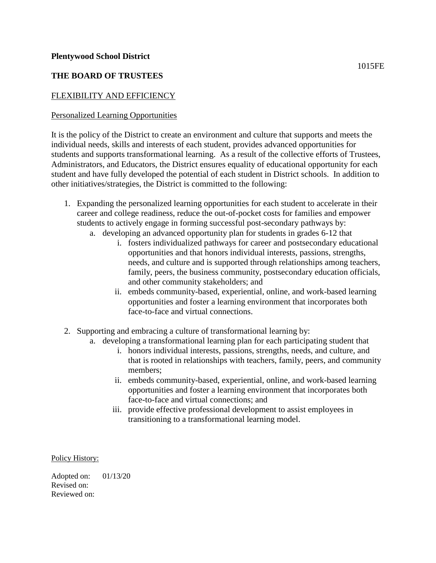## **THE BOARD OF TRUSTEES**

## FLEXIBILITY AND EFFICIENCY

## Personalized Learning Opportunities

It is the policy of the District to create an environment and culture that supports and meets the individual needs, skills and interests of each student, provides advanced opportunities for students and supports transformational learning. As a result of the collective efforts of Trustees, Administrators, and Educators, the District ensures equality of educational opportunity for each student and have fully developed the potential of each student in District schools. In addition to other initiatives/strategies, the District is committed to the following:

- 1. Expanding the personalized learning opportunities for each student to accelerate in their career and college readiness, reduce the out-of-pocket costs for families and empower students to actively engage in forming successful post-secondary pathways by:
	- a. developing an advanced opportunity plan for students in grades 6-12 that
		- i. fosters individualized pathways for career and postsecondary educational opportunities and that honors individual interests, passions, strengths, needs, and culture and is supported through relationships among teachers, family, peers, the business community, postsecondary education officials, and other community stakeholders; and
		- ii. embeds community-based, experiential, online, and work-based learning opportunities and foster a learning environment that incorporates both face-to-face and virtual connections.
- 2. Supporting and embracing a culture of transformational learning by:
	- a. developing a transformational learning plan for each participating student that
		- i. honors individual interests, passions, strengths, needs, and culture, and that is rooted in relationships with teachers, family, peers, and community members;
		- ii. embeds community-based, experiential, online, and work-based learning opportunities and foster a learning environment that incorporates both face-to-face and virtual connections; and
		- iii. provide effective professional development to assist employees in transitioning to a transformational learning model.

Policy History:

Adopted on: 01/13/20 Revised on: Reviewed on: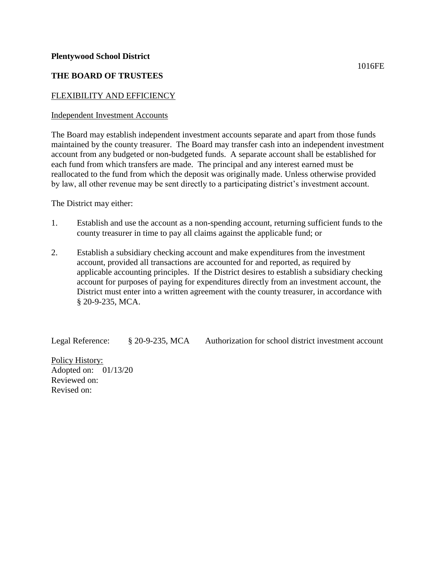## **THE BOARD OF TRUSTEES**

## FLEXIBILITY AND EFFICIENCY

## Independent Investment Accounts

The Board may establish independent investment accounts separate and apart from those funds maintained by the county treasurer. The Board may transfer cash into an independent investment account from any budgeted or non-budgeted funds. A separate account shall be established for each fund from which transfers are made. The principal and any interest earned must be reallocated to the fund from which the deposit was originally made. Unless otherwise provided by law, all other revenue may be sent directly to a participating district's investment account.

The District may either:

- 1. Establish and use the account as a non-spending account, returning sufficient funds to the county treasurer in time to pay all claims against the applicable fund; or
- 2. Establish a subsidiary checking account and make expenditures from the investment account, provided all transactions are accounted for and reported, as required by applicable accounting principles. If the District desires to establish a subsidiary checking account for purposes of paying for expenditures directly from an investment account, the District must enter into a written agreement with the county treasurer, in accordance with § 20-9-235, MCA.

Legal Reference: § 20-9-235, MCA Authorization for school district investment account

Policy History: Adopted on: 01/13/20 Reviewed on: Revised on: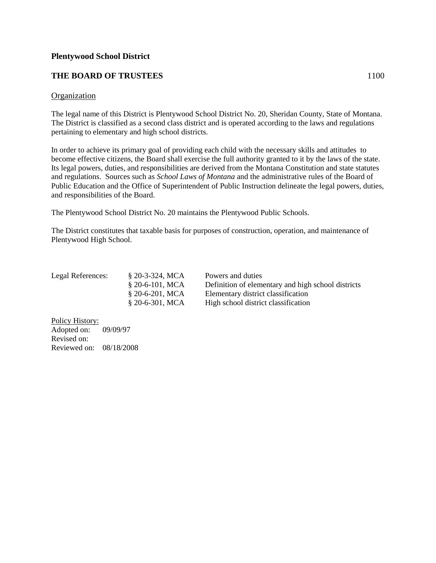## **THE BOARD OF TRUSTEES** 1100

### **Organization**

The legal name of this District is Plentywood School District No. 20, Sheridan County, State of Montana. The District is classified as a second class district and is operated according to the laws and regulations pertaining to elementary and high school districts.

In order to achieve its primary goal of providing each child with the necessary skills and attitudes to become effective citizens, the Board shall exercise the full authority granted to it by the laws of the state. Its legal powers, duties, and responsibilities are derived from the Montana Constitution and state statutes and regulations. Sources such as *School Laws of Montana* and the administrative rules of the Board of Public Education and the Office of Superintendent of Public Instruction delineate the legal powers, duties, and responsibilities of the Board.

The Plentywood School District No. 20 maintains the Plentywood Public Schools.

The District constitutes that taxable basis for purposes of construction, operation, and maintenance of Plentywood High School.

| Legal References: | $$20-3-324, MCA$<br>$$20-6-101, MCA$ | Powers and duties<br>Definition of elementary and high school districts   |
|-------------------|--------------------------------------|---------------------------------------------------------------------------|
|                   | $$20-6-201, MCA$<br>$$20-6-301, MCA$ | Elementary district classification<br>High school district classification |

Policy History: Adopted on: 09/09/97 Revised on: Reviewed on: 08/18/2008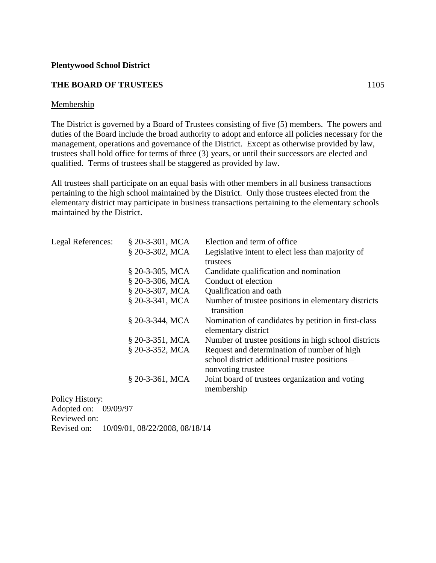#### **THE BOARD OF TRUSTEES** 1105

### Membership

The District is governed by a Board of Trustees consisting of five (5) members. The powers and duties of the Board include the broad authority to adopt and enforce all policies necessary for the management, operations and governance of the District. Except as otherwise provided by law, trustees shall hold office for terms of three (3) years, or until their successors are elected and qualified. Terms of trustees shall be staggered as provided by law.

All trustees shall participate on an equal basis with other members in all business transactions pertaining to the high school maintained by the District. Only those trustees elected from the elementary district may participate in business transactions pertaining to the elementary schools maintained by the District.

| <b>Legal References:</b> | $$20-3-301, MCA$  | Election and term of office.                                                                                       |
|--------------------------|-------------------|--------------------------------------------------------------------------------------------------------------------|
|                          | § 20-3-302, MCA   | Legislative intent to elect less than majority of                                                                  |
|                          |                   | trustees                                                                                                           |
|                          | $$20-3-305$ , MCA | Candidate qualification and nomination                                                                             |
|                          | $$20-3-306$ , MCA | Conduct of election                                                                                                |
|                          | $$20-3-307$ , MCA | Qualification and oath                                                                                             |
|                          | $$20-3-341, MCA$  | Number of trustee positions in elementary districts<br>– transition                                                |
|                          | § 20-3-344, MCA   | Nomination of candidates by petition in first-class<br>elementary district                                         |
|                          | $$20-3-351, MCA$  | Number of trustee positions in high school districts                                                               |
|                          | § 20-3-352, MCA   | Request and determination of number of high<br>school district additional trustee positions –<br>nonvoting trustee |
| $T1'$ $T1'$              | § 20-3-361, MCA   | Joint board of trustees organization and voting<br>membership                                                      |

Policy History:

Adopted on: 09/09/97 Reviewed on: Revised on: 10/09/01, 08/22/2008, 08/18/14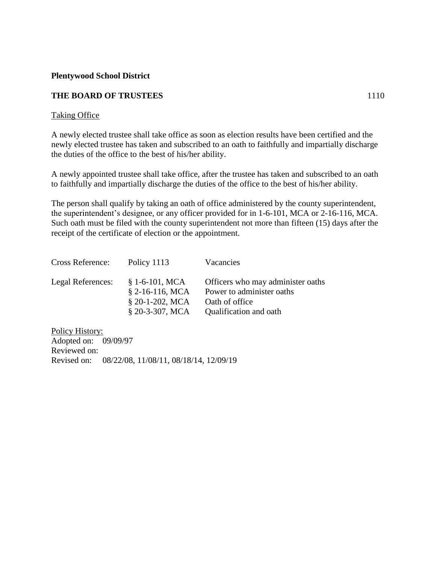## **THE BOARD OF TRUSTEES** 1110

## Taking Office

A newly elected trustee shall take office as soon as election results have been certified and the newly elected trustee has taken and subscribed to an oath to faithfully and impartially discharge the duties of the office to the best of his/her ability.

A newly appointed trustee shall take office, after the trustee has taken and subscribed to an oath to faithfully and impartially discharge the duties of the office to the best of his/her ability.

The person shall qualify by taking an oath of office administered by the county superintendent, the superintendent's designee, or any officer provided for in 1-6-101, MCA or 2-16-116, MCA. Such oath must be filed with the county superintendent not more than fifteen (15) days after the receipt of the certificate of election or the appointment.

| Cross Reference:  | Policy 1113                                                                   | Vacancies                                                                                                  |
|-------------------|-------------------------------------------------------------------------------|------------------------------------------------------------------------------------------------------------|
| Legal References: | $$1-6-101$ , MCA<br>$$2-16-116$ , MCA<br>§ 20-1-202, MCA<br>$$20-3-307$ , MCA | Officers who may administer oaths<br>Power to administer oaths<br>Oath of office<br>Qualification and oath |

Policy History: Adopted on: 09/09/97 Reviewed on: Revised on: 08/22/08, 11/08/11, 08/18/14, 12/09/19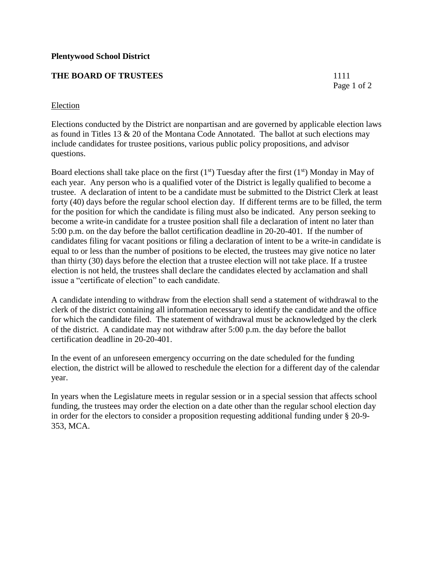## **THE BOARD OF TRUSTEES** 1111

Page 1 of 2

## **Election**

Elections conducted by the District are nonpartisan and are governed by applicable election laws as found in Titles 13 & 20 of the Montana Code Annotated. The ballot at such elections may include candidates for trustee positions, various public policy propositions, and advisor questions.

Board elections shall take place on the first  $(1<sup>st</sup>)$  Tuesday after the first  $(1<sup>st</sup>)$  Monday in May of each year. Any person who is a qualified voter of the District is legally qualified to become a trustee. A declaration of intent to be a candidate must be submitted to the District Clerk at least forty (40) days before the regular school election day. If different terms are to be filled, the term for the position for which the candidate is filing must also be indicated. Any person seeking to become a write-in candidate for a trustee position shall file a declaration of intent no later than 5:00 p.m. on the day before the ballot certification deadline in 20-20-401. If the number of candidates filing for vacant positions or filing a declaration of intent to be a write-in candidate is equal to or less than the number of positions to be elected, the trustees may give notice no later than thirty (30) days before the election that a trustee election will not take place. If a trustee election is not held, the trustees shall declare the candidates elected by acclamation and shall issue a "certificate of election" to each candidate.

A candidate intending to withdraw from the election shall send a statement of withdrawal to the clerk of the district containing all information necessary to identify the candidate and the office for which the candidate filed. The statement of withdrawal must be acknowledged by the clerk of the district. A candidate may not withdraw after 5:00 p.m. the day before the ballot certification deadline in 20-20-401.

In the event of an unforeseen emergency occurring on the date scheduled for the funding election, the district will be allowed to reschedule the election for a different day of the calendar year.

In years when the Legislature meets in regular session or in a special session that affects school funding, the trustees may order the election on a date other than the regular school election day in order for the electors to consider a proposition requesting additional funding under § 20-9- 353, MCA.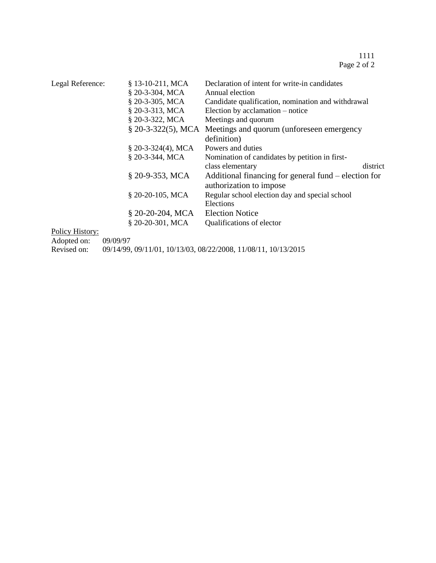| Legal Reference: | § 13-10-211, MCA    | Declaration of intent for write-in candidates                |  |
|------------------|---------------------|--------------------------------------------------------------|--|
|                  | $$20-3-304, MCA$    | Annual election                                              |  |
|                  | § 20-3-305, MCA     | Candidate qualification, nomination and withdrawal           |  |
|                  | § 20-3-313, MCA     | Election by acclamation – notice                             |  |
|                  | $$20-3-322, MCA$    | Meetings and quorum                                          |  |
|                  |                     | § 20-3-322(5), MCA Meetings and quorum (unforeseen emergency |  |
|                  |                     | definition)                                                  |  |
|                  | $$20-3-324(4), MCA$ | Powers and duties                                            |  |
|                  | § 20-3-344, MCA     | Nomination of candidates by petition in first-               |  |
|                  |                     | district<br>class elementary                                 |  |
|                  | § 20-9-353, MCA     | Additional financing for general fund – election for         |  |
|                  |                     | authorization to impose                                      |  |
|                  | § 20-20-105, MCA    | Regular school election day and special school               |  |
|                  |                     | Elections                                                    |  |
|                  | $$20-20-204, MCA$   | <b>Election Notice</b>                                       |  |
|                  | § 20-20-301, MCA    | Qualifications of elector                                    |  |
| Policy History:  |                     |                                                              |  |

Adopted on: 09/09/97

Revised on: 09/14/99, 09/11/01, 10/13/03, 08/22/2008, 11/08/11, 10/13/2015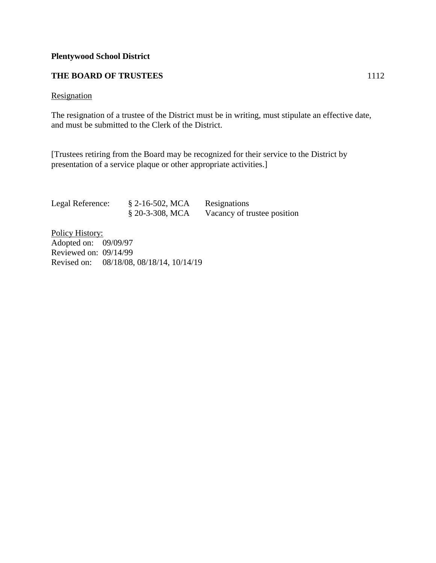## **THE BOARD OF TRUSTEES** 1112

### **Resignation**

The resignation of a trustee of the District must be in writing, must stipulate an effective date, and must be submitted to the Clerk of the District.

[Trustees retiring from the Board may be recognized for their service to the District by presentation of a service plaque or other appropriate activities.]

| Legal Reference: | $\S$ 2-16-502, MCA | Resignations                |
|------------------|--------------------|-----------------------------|
|                  | $$20-3-308, MCA$   | Vacancy of trustee position |

Policy History: Adopted on: 09/09/97 Reviewed on: 09/14/99 Revised on: 08/18/08, 08/18/14, 10/14/19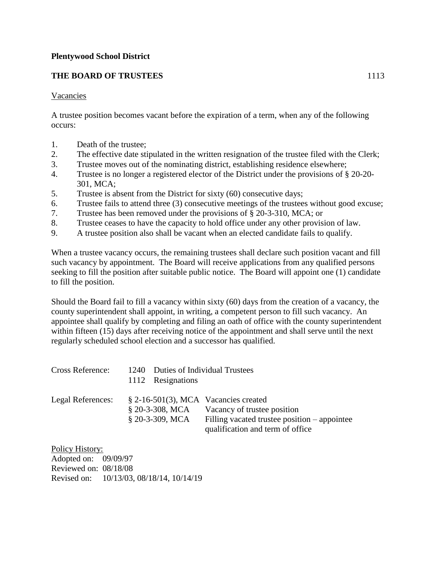## **THE BOARD OF TRUSTEES** 1113

## Vacancies

A trustee position becomes vacant before the expiration of a term, when any of the following occurs:

- 1. Death of the trustee;
- 2. The effective date stipulated in the written resignation of the trustee filed with the Clerk;
- 3. Trustee moves out of the nominating district, establishing residence elsewhere;
- 4. Trustee is no longer a registered elector of the District under the provisions of § 20-20- 301, MCA;
- 5. Trustee is absent from the District for sixty (60) consecutive days;
- 6. Trustee fails to attend three (3) consecutive meetings of the trustees without good excuse;
- 7. Trustee has been removed under the provisions of § 20-3-310, MCA; or
- 8. Trustee ceases to have the capacity to hold office under any other provision of law.
- 9. A trustee position also shall be vacant when an elected candidate fails to qualify.

When a trustee vacancy occurs, the remaining trustees shall declare such position vacant and fill such vacancy by appointment. The Board will receive applications from any qualified persons seeking to fill the position after suitable public notice. The Board will appoint one (1) candidate to fill the position.

Should the Board fail to fill a vacancy within sixty (60) days from the creation of a vacancy, the county superintendent shall appoint, in writing, a competent person to fill such vacancy. An appointee shall qualify by completing and filing an oath of office with the county superintendent within fifteen (15) days after receiving notice of the appointment and shall serve until the next regularly scheduled school election and a successor has qualified.

| <b>Cross Reference:</b> | 1240 Duties of Individual Trustees<br>1112 Resignations                         |                                                                                                                 |
|-------------------------|---------------------------------------------------------------------------------|-----------------------------------------------------------------------------------------------------------------|
| Legal References:       | $$2-16-501(3)$ , MCA Vacancies created<br>$$20-3-308, MCA$<br>$$20-3-309$ , MCA | Vacancy of trustee position<br>Filling vacated trustee position – appointee<br>qualification and term of office |

Policy History: Adopted on: 09/09/97 Reviewed on: 08/18/08 Revised on: 10/13/03, 08/18/14, 10/14/19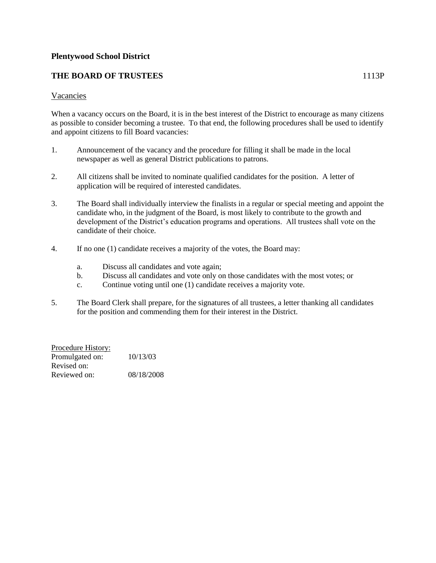## **THE BOARD OF TRUSTEES** 1113P

#### Vacancies

When a vacancy occurs on the Board, it is in the best interest of the District to encourage as many citizens as possible to consider becoming a trustee. To that end, the following procedures shall be used to identify and appoint citizens to fill Board vacancies:

- 1. Announcement of the vacancy and the procedure for filling it shall be made in the local newspaper as well as general District publications to patrons.
- 2. All citizens shall be invited to nominate qualified candidates for the position. A letter of application will be required of interested candidates.
- 3. The Board shall individually interview the finalists in a regular or special meeting and appoint the candidate who, in the judgment of the Board, is most likely to contribute to the growth and development of the District's education programs and operations. All trustees shall vote on the candidate of their choice.
- 4. If no one (1) candidate receives a majority of the votes, the Board may:
	- a. Discuss all candidates and vote again;
	- b. Discuss all candidates and vote only on those candidates with the most votes; or
	- c. Continue voting until one (1) candidate receives a majority vote.
- 5. The Board Clerk shall prepare, for the signatures of all trustees, a letter thanking all candidates for the position and commending them for their interest in the District.

Procedure History: Promulgated on:  $10/13/03$ Revised on: Reviewed on: 08/18/2008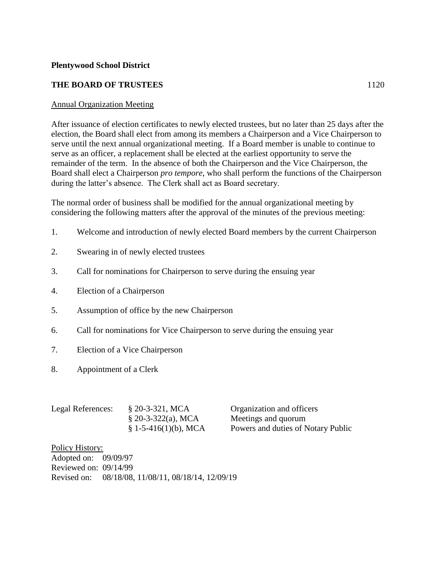## **THE BOARD OF TRUSTEES** 1120

## Annual Organization Meeting

After issuance of election certificates to newly elected trustees, but no later than 25 days after the election, the Board shall elect from among its members a Chairperson and a Vice Chairperson to serve until the next annual organizational meeting. If a Board member is unable to continue to serve as an officer, a replacement shall be elected at the earliest opportunity to serve the remainder of the term. In the absence of both the Chairperson and the Vice Chairperson, the Board shall elect a Chairperson *pro tempore*, who shall perform the functions of the Chairperson during the latter's absence. The Clerk shall act as Board secretary.

The normal order of business shall be modified for the annual organizational meeting by considering the following matters after the approval of the minutes of the previous meeting:

- 1. Welcome and introduction of newly elected Board members by the current Chairperson
- 2. Swearing in of newly elected trustees
- 3. Call for nominations for Chairperson to serve during the ensuing year
- 4. Election of a Chairperson
- 5. Assumption of office by the new Chairperson
- 6. Call for nominations for Vice Chairperson to serve during the ensuing year
- 7. Election of a Vice Chairperson
- 8. Appointment of a Clerk

| Legal References: | $$20-3-321, MCA$       | Organization and officers          |
|-------------------|------------------------|------------------------------------|
|                   | $$20-3-322(a), MCA$    | Meetings and quorum                |
|                   | $$1-5-416(1)(b)$ , MCA | Powers and duties of Notary Public |

Policy History: Adopted on: 09/09/97 Reviewed on: 09/14/99 Revised on: 08/18/08, 11/08/11, 08/18/14, 12/09/19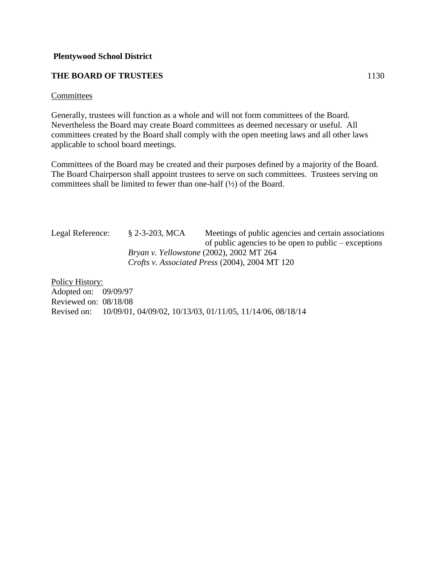## **THE BOARD OF TRUSTEES** 1130

#### Committees

Generally, trustees will function as a whole and will not form committees of the Board. Nevertheless the Board may create Board committees as deemed necessary or useful. All committees created by the Board shall comply with the open meeting laws and all other laws applicable to school board meetings.

Committees of the Board may be created and their purposes defined by a majority of the Board. The Board Chairperson shall appoint trustees to serve on such committees. Trustees serving on committees shall be limited to fewer than one-half (½) of the Board.

Legal Reference: § 2-3-203, MCA Meetings of public agencies and certain associations of public agencies to be open to public – exceptions *Bryan v. Yellowstone* (2002), 2002 MT 264 *Crofts v. Associated Press* (2004), 2004 MT 120

Policy History: Adopted on: 09/09/97 Reviewed on: 08/18/08 Revised on: 10/09/01, 04/09/02, 10/13/03, 01/11/05, 11/14/06, 08/18/14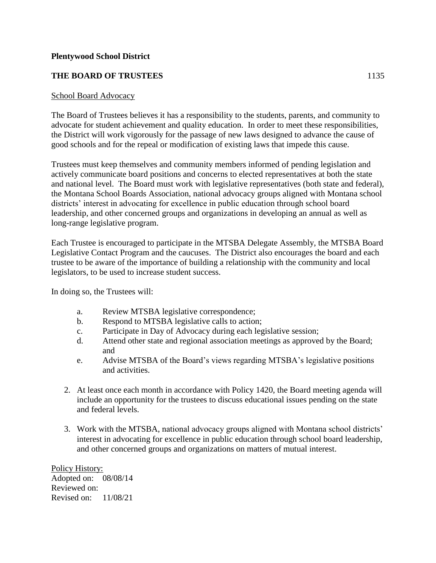## **THE BOARD OF TRUSTEES** 1135

### School Board Advocacy

The Board of Trustees believes it has a responsibility to the students, parents, and community to advocate for student achievement and quality education. In order to meet these responsibilities, the District will work vigorously for the passage of new laws designed to advance the cause of good schools and for the repeal or modification of existing laws that impede this cause.

Trustees must keep themselves and community members informed of pending legislation and actively communicate board positions and concerns to elected representatives at both the state and national level. The Board must work with legislative representatives (both state and federal), the Montana School Boards Association, national advocacy groups aligned with Montana school districts' interest in advocating for excellence in public education through school board leadership, and other concerned groups and organizations in developing an annual as well as long-range legislative program.

Each Trustee is encouraged to participate in the MTSBA Delegate Assembly, the MTSBA Board Legislative Contact Program and the caucuses. The District also encourages the board and each trustee to be aware of the importance of building a relationship with the community and local legislators, to be used to increase student success.

In doing so, the Trustees will:

- a. Review MTSBA legislative correspondence;
- b. Respond to MTSBA legislative calls to action;
- c. Participate in Day of Advocacy during each legislative session;
- d. Attend other state and regional association meetings as approved by the Board; and
- e. Advise MTSBA of the Board's views regarding MTSBA's legislative positions and activities.
- 2. At least once each month in accordance with Policy 1420, the Board meeting agenda will include an opportunity for the trustees to discuss educational issues pending on the state and federal levels.
- 3. Work with the MTSBA, national advocacy groups aligned with Montana school districts' interest in advocating for excellence in public education through school board leadership, and other concerned groups and organizations on matters of mutual interest.

Policy History: Adopted on: 08/08/14 Reviewed on: Revised on: 11/08/21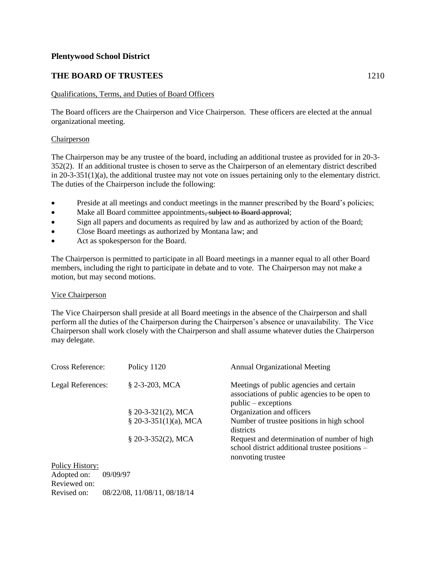## **THE BOARD OF TRUSTEES** 1210

#### Qualifications, Terms, and Duties of Board Officers

The Board officers are the Chairperson and Vice Chairperson. These officers are elected at the annual organizational meeting.

#### **Chairperson**

The Chairperson may be any trustee of the board, including an additional trustee as provided for in 20-3- 352(2). If an additional trustee is chosen to serve as the Chairperson of an elementary district described in 20-3-351(1)(a), the additional trustee may not vote on issues pertaining only to the elementary district. The duties of the Chairperson include the following:

- Preside at all meetings and conduct meetings in the manner prescribed by the Board's policies;
- Make all Board committee appointments, subject to Board approval;
- Sign all papers and documents as required by law and as authorized by action of the Board;
- Close Board meetings as authorized by Montana law; and
- Act as spokesperson for the Board.

The Chairperson is permitted to participate in all Board meetings in a manner equal to all other Board members, including the right to participate in debate and to vote. The Chairperson may not make a motion, but may second motions.

#### Vice Chairperson

The Vice Chairperson shall preside at all Board meetings in the absence of the Chairperson and shall perform all the duties of the Chairperson during the Chairperson's absence or unavailability. The Vice Chairperson shall work closely with the Chairperson and shall assume whatever duties the Chairperson may delegate.

| Cross Reference:                                           | Policy 1120            | <b>Annual Organizational Meeting</b>                                                                               |
|------------------------------------------------------------|------------------------|--------------------------------------------------------------------------------------------------------------------|
| Legal References:                                          | $$2-3-203$ , MCA       | Meetings of public agencies and certain<br>associations of public agencies to be open to<br>$public - exceptions$  |
|                                                            | $$20-3-321(2), MCA$    | Organization and officers                                                                                          |
|                                                            | $$20-3-351(1)(a), MCA$ | Number of trustee positions in high school<br>districts                                                            |
|                                                            | $$20-3-352(2)$ , MCA   | Request and determination of number of high<br>school district additional trustee positions -<br>nonvoting trustee |
| Policy History:<br>Adopted on:<br>09/09/97<br>Reviewed on: |                        |                                                                                                                    |

Revised on: 08/22/08, 11/08/11, 08/18/14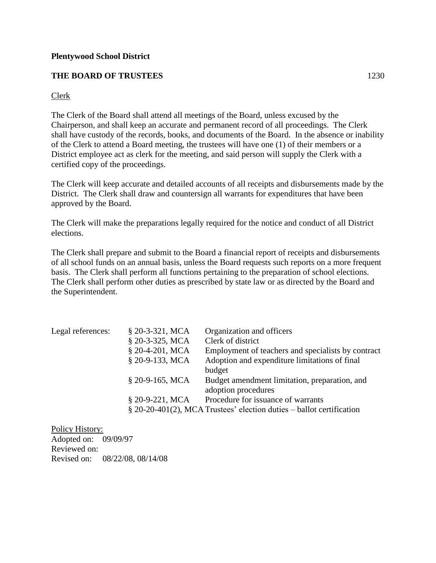## **THE BOARD OF TRUSTEES** 1230

## Clerk

The Clerk of the Board shall attend all meetings of the Board, unless excused by the Chairperson, and shall keep an accurate and permanent record of all proceedings. The Clerk shall have custody of the records, books, and documents of the Board. In the absence or inability of the Clerk to attend a Board meeting, the trustees will have one (1) of their members or a District employee act as clerk for the meeting, and said person will supply the Clerk with a certified copy of the proceedings.

The Clerk will keep accurate and detailed accounts of all receipts and disbursements made by the District. The Clerk shall draw and countersign all warrants for expenditures that have been approved by the Board.

The Clerk will make the preparations legally required for the notice and conduct of all District elections.

The Clerk shall prepare and submit to the Board a financial report of receipts and disbursements of all school funds on an annual basis, unless the Board requests such reports on a more frequent basis. The Clerk shall perform all functions pertaining to the preparation of school elections. The Clerk shall perform other duties as prescribed by state law or as directed by the Board and the Superintendent.

| § 20-3-321, MCA   | Organization and officers                                               |
|-------------------|-------------------------------------------------------------------------|
| § 20-3-325, MCA   | Clerk of district                                                       |
| § 20-4-201, MCA   | Employment of teachers and specialists by contract                      |
| § 20-9-133, MCA   | Adoption and expenditure limitations of final                           |
|                   | budget                                                                  |
| $$20-9-165$ , MCA | Budget amendment limitation, preparation, and                           |
|                   | adoption procedures                                                     |
| § 20-9-221, MCA   | Procedure for issuance of warrants                                      |
|                   | $\S$ 20-20-401(2), MCA Trustees' election duties – ballot certification |
|                   |                                                                         |

Policy History: Adopted on: 09/09/97 Reviewed on: Revised on: 08/22/08, 08/14/08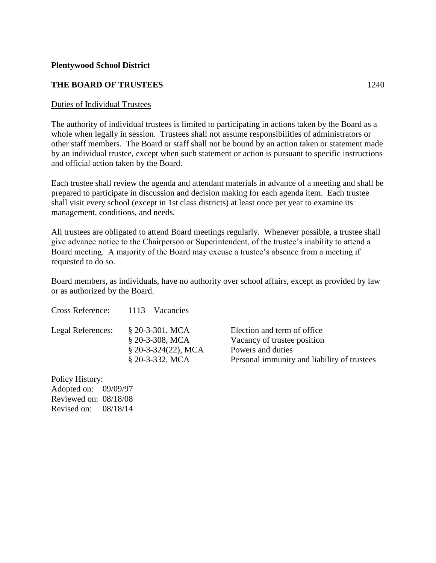## **THE BOARD OF TRUSTEES** 1240

### Duties of Individual Trustees

The authority of individual trustees is limited to participating in actions taken by the Board as a whole when legally in session. Trustees shall not assume responsibilities of administrators or other staff members. The Board or staff shall not be bound by an action taken or statement made by an individual trustee, except when such statement or action is pursuant to specific instructions and official action taken by the Board.

Each trustee shall review the agenda and attendant materials in advance of a meeting and shall be prepared to participate in discussion and decision making for each agenda item. Each trustee shall visit every school (except in 1st class districts) at least once per year to examine its management, conditions, and needs.

All trustees are obligated to attend Board meetings regularly. Whenever possible, a trustee shall give advance notice to the Chairperson or Superintendent, of the trustee's inability to attend a Board meeting. A majority of the Board may excuse a trustee's absence from a meeting if requested to do so.

Board members, as individuals, have no authority over school affairs, except as provided by law or as authorized by the Board.

| Cross Reference:  | 1113<br><b>Vacancies</b> |                                             |
|-------------------|--------------------------|---------------------------------------------|
| Legal References: | $$20-3-301, MCA$         | Election and term of office.                |
|                   | § 20-3-308, MCA          | Vacancy of trustee position                 |
|                   | $$20-3-324(22), MCA$     | Powers and duties                           |
|                   | § 20-3-332, MCA          | Personal immunity and liability of trustees |
| Policy History:   |                          |                                             |

Adopted on: 09/09/97

Reviewed on: 08/18/08 Revised on: 08/18/14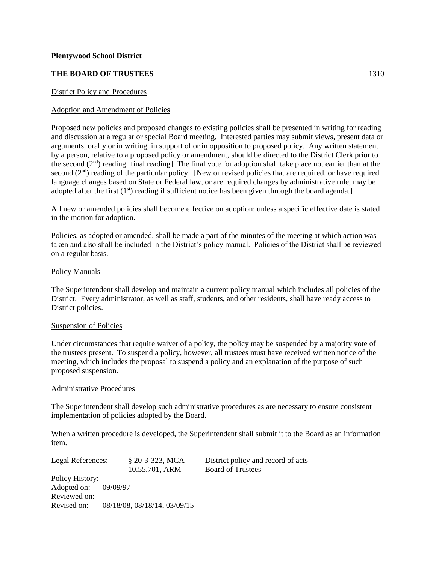#### **THE BOARD OF TRUSTEES** 1310

#### District Policy and Procedures

#### Adoption and Amendment of Policies

Proposed new policies and proposed changes to existing policies shall be presented in writing for reading and discussion at a regular or special Board meeting. Interested parties may submit views, present data or arguments, orally or in writing, in support of or in opposition to proposed policy. Any written statement by a person, relative to a proposed policy or amendment, should be directed to the District Clerk prior to the second  $(2<sup>nd</sup>)$  reading [final reading]. The final vote for adoption shall take place not earlier than at the second  $(2<sup>nd</sup>)$  reading of the particular policy. [New or revised policies that are required, or have required language changes based on State or Federal law, or are required changes by administrative rule, may be adopted after the first  $(1<sup>st</sup>)$  reading if sufficient notice has been given through the board agenda.]

All new or amended policies shall become effective on adoption; unless a specific effective date is stated in the motion for adoption.

Policies, as adopted or amended, shall be made a part of the minutes of the meeting at which action was taken and also shall be included in the District's policy manual. Policies of the District shall be reviewed on a regular basis.

#### Policy Manuals

The Superintendent shall develop and maintain a current policy manual which includes all policies of the District. Every administrator, as well as staff, students, and other residents, shall have ready access to District policies.

#### Suspension of Policies

Under circumstances that require waiver of a policy, the policy may be suspended by a majority vote of the trustees present. To suspend a policy, however, all trustees must have received written notice of the meeting, which includes the proposal to suspend a policy and an explanation of the purpose of such proposed suspension.

#### Administrative Procedures

The Superintendent shall develop such administrative procedures as are necessary to ensure consistent implementation of policies adopted by the Board.

When a written procedure is developed, the Superintendent shall submit it to the Board as an information item.

Legal References: § 20-3-323, MCA District policy and record of acts 10.55.701, ARM Board of Trustees Policy History: Adopted on: 09/09/97 Reviewed on: Revised on: 08/18/08, 08/18/14, 03/09/15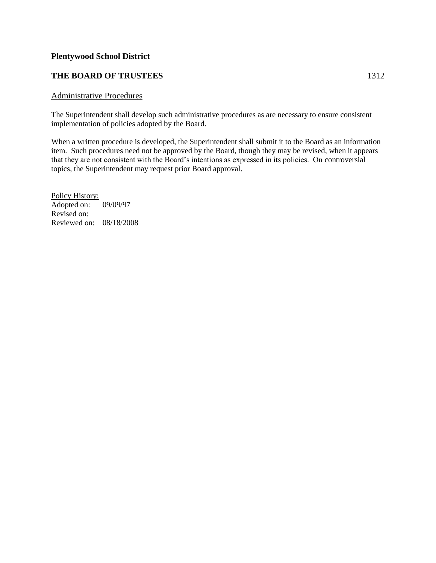## **THE BOARD OF TRUSTEES** 1312

#### Administrative Procedures

The Superintendent shall develop such administrative procedures as are necessary to ensure consistent implementation of policies adopted by the Board.

When a written procedure is developed, the Superintendent shall submit it to the Board as an information item. Such procedures need not be approved by the Board, though they may be revised, when it appears that they are not consistent with the Board's intentions as expressed in its policies. On controversial topics, the Superintendent may request prior Board approval.

Policy History: Adopted on: 09/09/97 Revised on: Reviewed on: 08/18/2008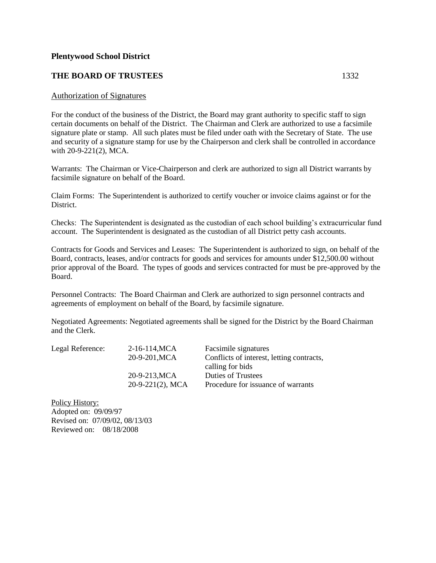#### **THE BOARD OF TRUSTEES** 1332

#### Authorization of Signatures

For the conduct of the business of the District, the Board may grant authority to specific staff to sign certain documents on behalf of the District. The Chairman and Clerk are authorized to use a facsimile signature plate or stamp. All such plates must be filed under oath with the Secretary of State. The use and security of a signature stamp for use by the Chairperson and clerk shall be controlled in accordance with 20-9-221(2), MCA.

Warrants: The Chairman or Vice-Chairperson and clerk are authorized to sign all District warrants by facsimile signature on behalf of the Board.

Claim Forms: The Superintendent is authorized to certify voucher or invoice claims against or for the District.

Checks: The Superintendent is designated as the custodian of each school building's extracurricular fund account. The Superintendent is designated as the custodian of all District petty cash accounts.

Contracts for Goods and Services and Leases: The Superintendent is authorized to sign, on behalf of the Board, contracts, leases, and/or contracts for goods and services for amounts under \$12,500.00 without prior approval of the Board. The types of goods and services contracted for must be pre-approved by the Board.

Personnel Contracts: The Board Chairman and Clerk are authorized to sign personnel contracts and agreements of employment on behalf of the Board, by facsimile signature.

Negotiated Agreements: Negotiated agreements shall be signed for the District by the Board Chairman and the Clerk.

| Legal Reference: | 2-16-114, MCA       | Facsimile signatures                      |
|------------------|---------------------|-------------------------------------------|
|                  | 20-9-201, MCA       | Conflicts of interest, letting contracts, |
|                  |                     | calling for bids                          |
|                  | 20-9-213, MCA       | <b>Duties of Trustees</b>                 |
|                  | $20-9-221(2)$ , MCA | Procedure for issuance of warrants        |

Policy History: Adopted on: 09/09/97 Revised on: 07/09/02, 08/13/03 Reviewed on: 08/18/2008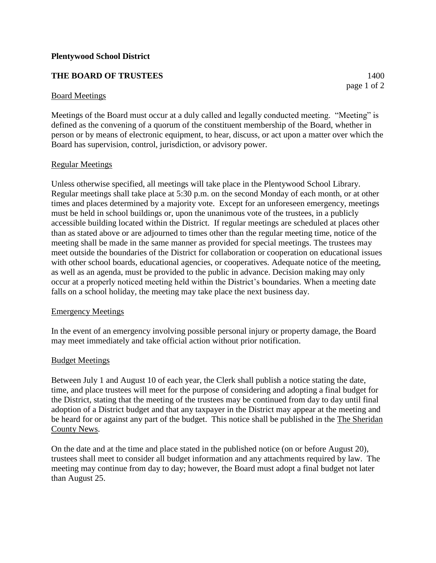## **THE BOARD OF TRUSTEES** 1400

#### Board Meetings

Meetings of the Board must occur at a duly called and legally conducted meeting. "Meeting" is defined as the convening of a quorum of the constituent membership of the Board, whether in person or by means of electronic equipment, to hear, discuss, or act upon a matter over which the Board has supervision, control, jurisdiction, or advisory power.

#### Regular Meetings

Unless otherwise specified, all meetings will take place in the Plentywood School Library. Regular meetings shall take place at 5:30 p.m. on the second Monday of each month, or at other times and places determined by a majority vote. Except for an unforeseen emergency, meetings must be held in school buildings or, upon the unanimous vote of the trustees, in a publicly accessible building located within the District. If regular meetings are scheduled at places other than as stated above or are adjourned to times other than the regular meeting time, notice of the meeting shall be made in the same manner as provided for special meetings. The trustees may meet outside the boundaries of the District for collaboration or cooperation on educational issues with other school boards, educational agencies, or cooperatives. Adequate notice of the meeting, as well as an agenda, must be provided to the public in advance. Decision making may only occur at a properly noticed meeting held within the District's boundaries. When a meeting date falls on a school holiday, the meeting may take place the next business day.

#### Emergency Meetings

In the event of an emergency involving possible personal injury or property damage, the Board may meet immediately and take official action without prior notification.

#### Budget Meetings

Between July 1 and August 10 of each year, the Clerk shall publish a notice stating the date, time, and place trustees will meet for the purpose of considering and adopting a final budget for the District, stating that the meeting of the trustees may be continued from day to day until final adoption of a District budget and that any taxpayer in the District may appear at the meeting and be heard for or against any part of the budget. This notice shall be published in the The Sheridan County News.

On the date and at the time and place stated in the published notice (on or before August 20), trustees shall meet to consider all budget information and any attachments required by law. The meeting may continue from day to day; however, the Board must adopt a final budget not later than August 25.

page 1 of 2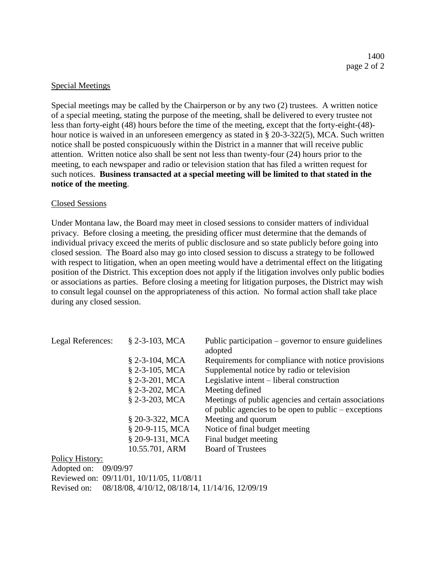## Special Meetings

Special meetings may be called by the Chairperson or by any two (2) trustees. A written notice of a special meeting, stating the purpose of the meeting, shall be delivered to every trustee not less than forty-eight (48) hours before the time of the meeting, except that the forty-eight-(48) hour notice is waived in an unforeseen emergency as stated in § 20-3-322(5), MCA. Such written notice shall be posted conspicuously within the District in a manner that will receive public attention. Written notice also shall be sent not less than twenty-four (24) hours prior to the meeting, to each newspaper and radio or television station that has filed a written request for such notices. **Business transacted at a special meeting will be limited to that stated in the notice of the meeting**.

## Closed Sessions

Under Montana law, the Board may meet in closed sessions to consider matters of individual privacy. Before closing a meeting, the presiding officer must determine that the demands of individual privacy exceed the merits of public disclosure and so state publicly before going into closed session. The Board also may go into closed session to discuss a strategy to be followed with respect to litigation, when an open meeting would have a detrimental effect on the litigating position of the District. This exception does not apply if the litigation involves only public bodies or associations as parties. Before closing a meeting for litigation purposes, the District may wish to consult legal counsel on the appropriateness of this action. No formal action shall take place during any closed session.

| Legal References: | $$2-3-103$ , MCA | Public participation $-$ governor to ensure guidelines<br>adopted                                                    |
|-------------------|------------------|----------------------------------------------------------------------------------------------------------------------|
|                   | $$2-3-104$ , MCA | Requirements for compliance with notice provisions                                                                   |
|                   | $$2-3-105$ , MCA | Supplemental notice by radio or television                                                                           |
|                   | $$2-3-201, MCA$  | Legislative intent – liberal construction                                                                            |
|                   | $$2-3-202, MCA$  | Meeting defined                                                                                                      |
|                   | § 2-3-203, MCA   | Meetings of public agencies and certain associations<br>of public agencies to be open to public $-\text{exceptions}$ |
|                   | § 20-3-322, MCA  | Meeting and quorum                                                                                                   |
|                   | § 20-9-115, MCA  | Notice of final budget meeting                                                                                       |
|                   | § 20-9-131, MCA  | Final budget meeting                                                                                                 |
|                   | 10.55.701, ARM   | <b>Board of Trustees</b>                                                                                             |

Policy History:

| Adopted on: $09/09/97$ |                                                             |
|------------------------|-------------------------------------------------------------|
|                        | Reviewed on: 09/11/01, 10/11/05, 11/08/11                   |
|                        | Revised on: 08/18/08, 4/10/12, 08/18/14, 11/14/16, 12/09/19 |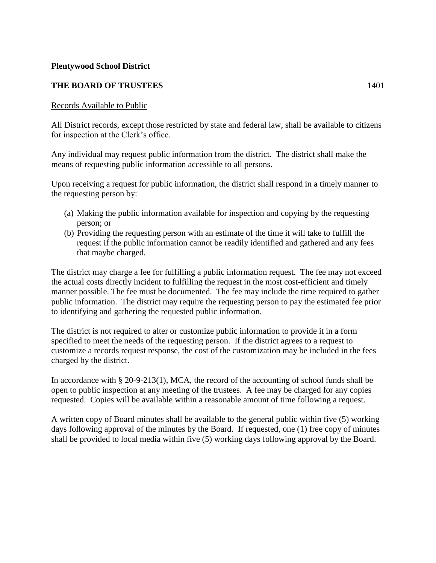## **THE BOARD OF TRUSTEES** 1401

## Records Available to Public

All District records, except those restricted by state and federal law, shall be available to citizens for inspection at the Clerk's office.

Any individual may request public information from the district. The district shall make the means of requesting public information accessible to all persons.

Upon receiving a request for public information, the district shall respond in a timely manner to the requesting person by:

- (a) Making the public information available for inspection and copying by the requesting person; or
- (b) Providing the requesting person with an estimate of the time it will take to fulfill the request if the public information cannot be readily identified and gathered and any fees that maybe charged.

The district may charge a fee for fulfilling a public information request. The fee may not exceed the actual costs directly incident to fulfilling the request in the most cost-efficient and timely manner possible. The fee must be documented. The fee may include the time required to gather public information. The district may require the requesting person to pay the estimated fee prior to identifying and gathering the requested public information.

The district is not required to alter or customize public information to provide it in a form specified to meet the needs of the requesting person. If the district agrees to a request to customize a records request response, the cost of the customization may be included in the fees charged by the district.

In accordance with § 20-9-213(1), MCA, the record of the accounting of school funds shall be open to public inspection at any meeting of the trustees. A fee may be charged for any copies requested. Copies will be available within a reasonable amount of time following a request.

A written copy of Board minutes shall be available to the general public within five (5) working days following approval of the minutes by the Board. If requested, one (1) free copy of minutes shall be provided to local media within five (5) working days following approval by the Board.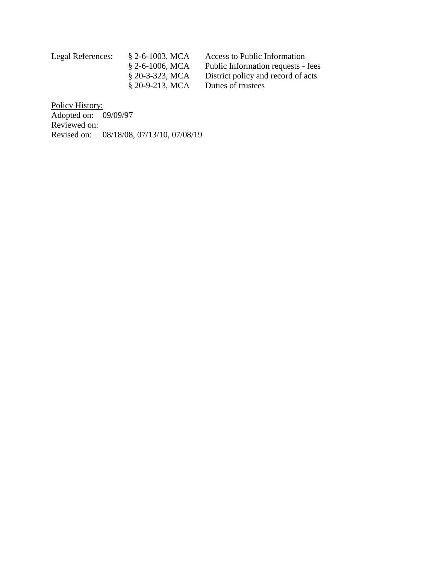| $\S$ 2-6-1003, MCA | Access to Public Information       |
|--------------------|------------------------------------|
| $\S$ 2-6-1006, MCA | Public Information requests - fees |
| $\S$ 20-3-323, MCA | District policy and record of acts |
| $$20-9-213$ , MCA  | Duties of trustees                 |
|                    |                                    |

Policy History: Adopted on: 09/09/97 Reviewed on: Revised on: 08/18/08, 07/13/10, 07/08/19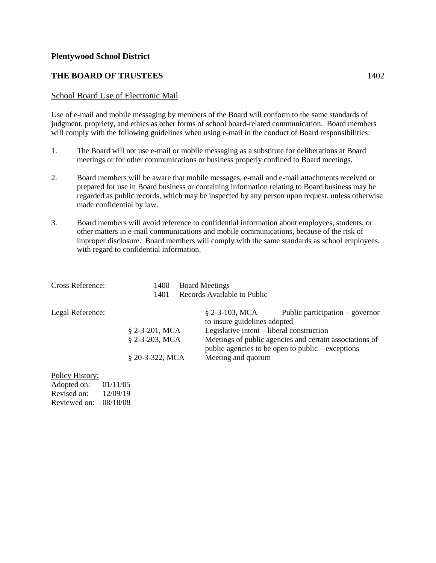## **THE BOARD OF TRUSTEES** 1402

### School Board Use of Electronic Mail

Use of e-mail and mobile messaging by members of the Board will conform to the same standards of judgment, propriety, and ethics as other forms of school board-related communication. Board members will comply with the following guidelines when using e-mail in the conduct of Board responsibilities:

- 1. The Board will not use e-mail or mobile messaging as a substitute for deliberations at Board meetings or for other communications or business properly confined to Board meetings.
- 2. Board members will be aware that mobile messages, e-mail and e-mail attachments received or prepared for use in Board business or containing information relating to Board business may be regarded as public records, which may be inspected by any person upon request, unless otherwise made confidential by law.
- 3. Board members will avoid reference to confidential information about employees, students, or other matters in e-mail communications and mobile communications, because of the risk of improper disclosure. Board members will comply with the same standards as school employees, with regard to confidential information.

| Cross Reference: | <b>Board Meetings</b><br>1400 |                                                  |                                                                                                                |
|------------------|-------------------------------|--------------------------------------------------|----------------------------------------------------------------------------------------------------------------|
|                  | 1401                          | Records Available to Public                      |                                                                                                                |
| Legal Reference: |                               | $$2-3-103$ , MCA<br>to insure guidelines adopted | Public participation $-$ governor                                                                              |
|                  | $$2-3-201, MCA$               | Legislative intent – liberal construction        |                                                                                                                |
|                  | § 2-3-203, MCA                |                                                  | Meetings of public agencies and certain associations of<br>public agencies to be open to public $-$ exceptions |
|                  | § 20-3-322, MCA               | Meeting and quorum                               |                                                                                                                |
|                  |                               |                                                  |                                                                                                                |

## Policy History:

| Adopted on:  | 01/11/05 |
|--------------|----------|
| Revised on:  | 12/09/19 |
| Reviewed on: | 08/18/08 |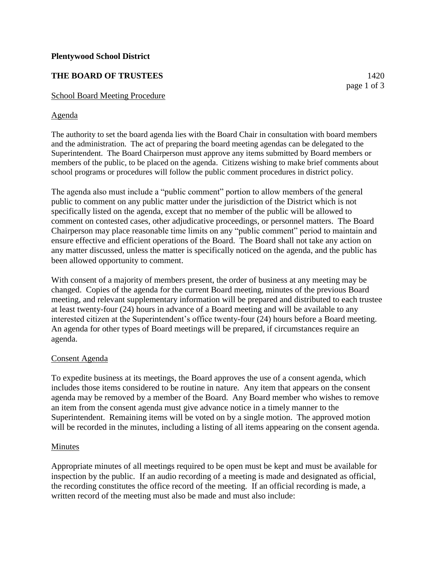## **THE BOARD OF TRUSTEES** 1420

### School Board Meeting Procedure

### Agenda

The authority to set the board agenda lies with the Board Chair in consultation with board members and the administration. The act of preparing the board meeting agendas can be delegated to the Superintendent. The Board Chairperson must approve any items submitted by Board members or members of the public, to be placed on the agenda. Citizens wishing to make brief comments about school programs or procedures will follow the public comment procedures in district policy.

The agenda also must include a "public comment" portion to allow members of the general public to comment on any public matter under the jurisdiction of the District which is not specifically listed on the agenda, except that no member of the public will be allowed to comment on contested cases, other adjudicative proceedings, or personnel matters. The Board Chairperson may place reasonable time limits on any "public comment" period to maintain and ensure effective and efficient operations of the Board. The Board shall not take any action on any matter discussed, unless the matter is specifically noticed on the agenda, and the public has been allowed opportunity to comment.

With consent of a majority of members present, the order of business at any meeting may be changed. Copies of the agenda for the current Board meeting, minutes of the previous Board meeting, and relevant supplementary information will be prepared and distributed to each trustee at least twenty-four (24) hours in advance of a Board meeting and will be available to any interested citizen at the Superintendent's office twenty-four (24) hours before a Board meeting. An agenda for other types of Board meetings will be prepared, if circumstances require an agenda.

#### Consent Agenda

To expedite business at its meetings, the Board approves the use of a consent agenda, which includes those items considered to be routine in nature. Any item that appears on the consent agenda may be removed by a member of the Board. Any Board member who wishes to remove an item from the consent agenda must give advance notice in a timely manner to the Superintendent. Remaining items will be voted on by a single motion. The approved motion will be recorded in the minutes, including a listing of all items appearing on the consent agenda.

#### Minutes

Appropriate minutes of all meetings required to be open must be kept and must be available for inspection by the public. If an audio recording of a meeting is made and designated as official, the recording constitutes the office record of the meeting. If an official recording is made, a written record of the meeting must also be made and must also include:

page 1 of 3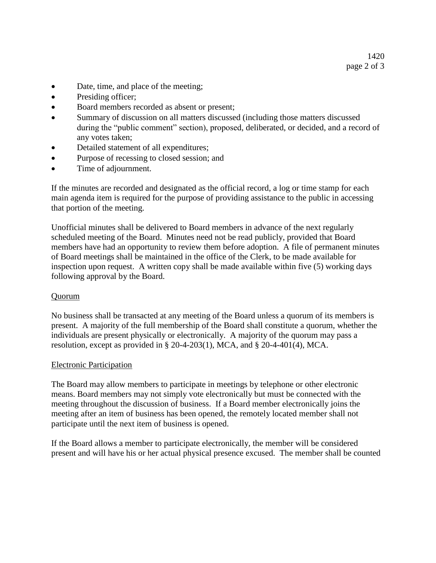- Date, time, and place of the meeting;
- Presiding officer;
- Board members recorded as absent or present;
- Summary of discussion on all matters discussed (including those matters discussed during the "public comment" section), proposed, deliberated, or decided, and a record of any votes taken;
- Detailed statement of all expenditures;
- Purpose of recessing to closed session; and
- Time of adjournment.

If the minutes are recorded and designated as the official record, a log or time stamp for each main agenda item is required for the purpose of providing assistance to the public in accessing that portion of the meeting.

Unofficial minutes shall be delivered to Board members in advance of the next regularly scheduled meeting of the Board. Minutes need not be read publicly, provided that Board members have had an opportunity to review them before adoption. A file of permanent minutes of Board meetings shall be maintained in the office of the Clerk, to be made available for inspection upon request. A written copy shall be made available within five (5) working days following approval by the Board.

## Quorum

No business shall be transacted at any meeting of the Board unless a quorum of its members is present. A majority of the full membership of the Board shall constitute a quorum, whether the individuals are present physically or electronically. A majority of the quorum may pass a resolution, except as provided in § 20-4-203(1), MCA, and § 20-4-401(4), MCA.

## Electronic Participation

The Board may allow members to participate in meetings by telephone or other electronic means. Board members may not simply vote electronically but must be connected with the meeting throughout the discussion of business. If a Board member electronically joins the meeting after an item of business has been opened, the remotely located member shall not participate until the next item of business is opened.

If the Board allows a member to participate electronically, the member will be considered present and will have his or her actual physical presence excused. The member shall be counted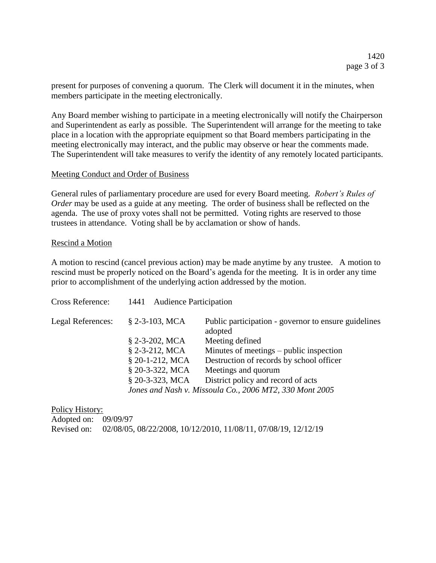present for purposes of convening a quorum. The Clerk will document it in the minutes, when members participate in the meeting electronically.

Any Board member wishing to participate in a meeting electronically will notify the Chairperson and Superintendent as early as possible. The Superintendent will arrange for the meeting to take place in a location with the appropriate equipment so that Board members participating in the meeting electronically may interact, and the public may observe or hear the comments made. The Superintendent will take measures to verify the identity of any remotely located participants.

### Meeting Conduct and Order of Business

General rules of parliamentary procedure are used for every Board meeting. *Robert's Rules of Order* may be used as a guide at any meeting. The order of business shall be reflected on the agenda. The use of proxy votes shall not be permitted. Voting rights are reserved to those trustees in attendance. Voting shall be by acclamation or show of hands.

### Rescind a Motion

A motion to rescind (cancel previous action) may be made anytime by any trustee. A motion to rescind must be properly noticed on the Board's agenda for the meeting. It is in order any time prior to accomplishment of the underlying action addressed by the motion.

| Cross Reference:  | 1441 Audience Participation |                                                                 |
|-------------------|-----------------------------|-----------------------------------------------------------------|
| Legal References: | $$2-3-103$ , MCA            | Public participation - governor to ensure guidelines<br>adopted |
|                   | $$2-3-202$ , MCA            | Meeting defined                                                 |
|                   | $$2-3-212$ , MCA            | Minutes of meetings – public inspection                         |
|                   | § 20-1-212, MCA             | Destruction of records by school officer                        |
|                   | § 20-3-322, MCA             | Meetings and quorum                                             |
|                   | § 20-3-323, MCA             | District policy and record of acts                              |
|                   |                             | Jones and Nash v. Missoula Co., 2006 MT2, 330 Mont 2005         |
|                   |                             |                                                                 |

Policy History: Adopted on: 09/09/97 Revised on: 02/08/05, 08/22/2008, 10/12/2010, 11/08/11, 07/08/19, 12/12/19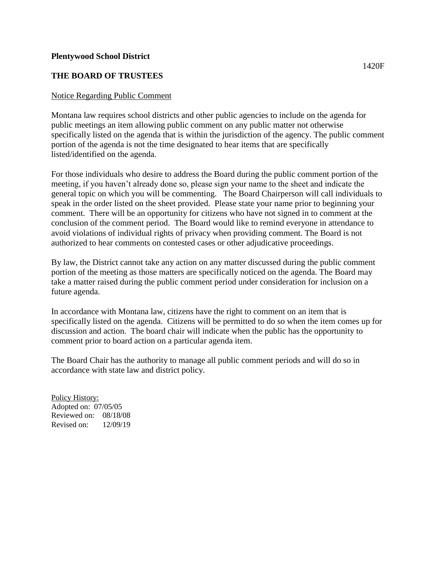## **THE BOARD OF TRUSTEES**

## Notice Regarding Public Comment

Montana law requires school districts and other public agencies to include on the agenda for public meetings an item allowing public comment on any public matter not otherwise specifically listed on the agenda that is within the jurisdiction of the agency. The public comment portion of the agenda is not the time designated to hear items that are specifically listed/identified on the agenda.

For those individuals who desire to address the Board during the public comment portion of the meeting, if you haven't already done so, please sign your name to the sheet and indicate the general topic on which you will be commenting. The Board Chairperson will call individuals to speak in the order listed on the sheet provided. Please state your name prior to beginning your comment. There will be an opportunity for citizens who have not signed in to comment at the conclusion of the comment period. The Board would like to remind everyone in attendance to avoid violations of individual rights of privacy when providing comment. The Board is not authorized to hear comments on contested cases or other adjudicative proceedings.

By law, the District cannot take any action on any matter discussed during the public comment portion of the meeting as those matters are specifically noticed on the agenda. The Board may take a matter raised during the public comment period under consideration for inclusion on a future agenda.

In accordance with Montana law, citizens have the right to comment on an item that is specifically listed on the agenda. Citizens will be permitted to do so when the item comes up for discussion and action. The board chair will indicate when the public has the opportunity to comment prior to board action on a particular agenda item.

The Board Chair has the authority to manage all public comment periods and will do so in accordance with state law and district policy.

Policy History: Adopted on: 07/05/05 Reviewed on: 08/18/08 Revised on: 12/09/19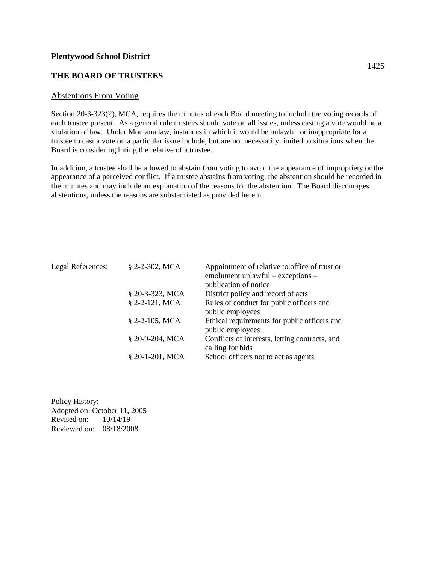## **THE BOARD OF TRUSTEES**

#### Abstentions From Voting

Section 20-3-323(2), MCA, requires the minutes of each Board meeting to include the voting records of each trustee present. As a general rule trustees should vote on all issues, unless casting a vote would be a violation of law. Under Montana law, instances in which it would be unlawful or inappropriate for a trustee to cast a vote on a particular issue include, but are not necessarily limited to situations when the Board is considering hiring the relative of a trustee.

In addition, a trustee shall be allowed to abstain from voting to avoid the appearance of impropriety or the appearance of a perceived conflict. If a trustee abstains from voting, the abstention should be recorded in the minutes and may include an explanation of the reasons for the abstention. The Board discourages abstentions, unless the reasons are substantiated as provided herein.

| Legal References: | $$2-2-302$ , MCA  | Appointment of relative to office of trust or  |
|-------------------|-------------------|------------------------------------------------|
|                   |                   | emolument unlawful – exceptions –              |
|                   |                   | publication of notice                          |
|                   | § 20-3-323, MCA   | District policy and record of acts             |
|                   | $$2-2-121$ , MCA  | Rules of conduct for public officers and       |
|                   |                   | public employees                               |
|                   | $$2-2-105$ , MCA  | Ethical requirements for public officers and   |
|                   |                   | public employees                               |
|                   | § 20-9-204, MCA   | Conflicts of interests, letting contracts, and |
|                   |                   | calling for bids                               |
|                   | $$20-1-201$ , MCA | School officers not to act as agents           |

Policy History: Adopted on: October 11, 2005 Revised on: 10/14/19 Reviewed on: 08/18/2008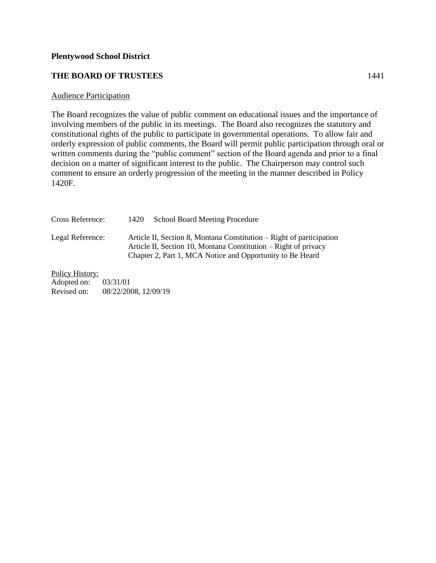## **THE BOARD OF TRUSTEES** 1441

### Audience Participation

The Board recognizes the value of public comment on educational issues and the importance of involving members of the public in its meetings. The Board also recognizes the statutory and constitutional rights of the public to participate in governmental operations. To allow fair and orderly expression of public comments, the Board will permit public participation through oral or written comments during the "public comment" section of the Board agenda and prior to a final decision on a matter of significant interest to the public. The Chairperson may control such comment to ensure an orderly progression of the meeting in the manner described in Policy 1420F.

| Cross Reference: | 1420 | <b>School Board Meeting Procedure</b>                                                                                                                                                                |
|------------------|------|------------------------------------------------------------------------------------------------------------------------------------------------------------------------------------------------------|
| Legal Reference: |      | Article II, Section 8, Montana Constitution – Right of participation<br>Article II, Section 10, Montana Constitution – Right of privacy<br>Chapter 2, Part 1, MCA Notice and Opportunity to Be Heard |

Policy History:

Adopted on: 03/31/01<br>Revised on: 08/22/20 08/22/2008, 12/09/19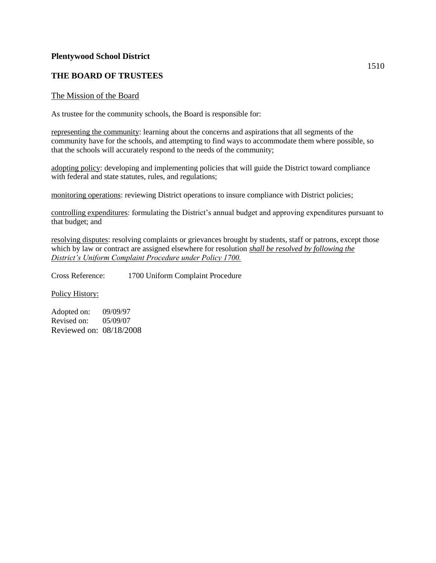## **THE BOARD OF TRUSTEES**

#### The Mission of the Board

As trustee for the community schools, the Board is responsible for:

representing the community: learning about the concerns and aspirations that all segments of the community have for the schools, and attempting to find ways to accommodate them where possible, so that the schools will accurately respond to the needs of the community;

adopting policy: developing and implementing policies that will guide the District toward compliance with federal and state statutes, rules, and regulations;

monitoring operations: reviewing District operations to insure compliance with District policies;

controlling expenditures: formulating the District's annual budget and approving expenditures pursuant to that budget; and

resolving disputes: resolving complaints or grievances brought by students, staff or patrons, except those which by law or contract are assigned elsewhere for resolution *shall be resolved by following the District's Uniform Complaint Procedure under Policy 1700.* 

Cross Reference: 1700 Uniform Complaint Procedure

Policy History:

Adopted on: 09/09/97 Revised on: 05/09/07 Reviewed on: 08/18/2008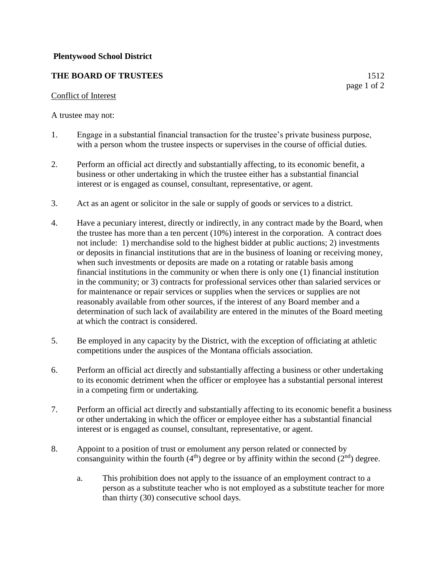## **THE BOARD OF TRUSTEES** 1512

### Conflict of Interest

A trustee may not:

- 1. Engage in a substantial financial transaction for the trustee's private business purpose, with a person whom the trustee inspects or supervises in the course of official duties.
- 2. Perform an official act directly and substantially affecting, to its economic benefit, a business or other undertaking in which the trustee either has a substantial financial interest or is engaged as counsel, consultant, representative, or agent.
- 3. Act as an agent or solicitor in the sale or supply of goods or services to a district.
- 4. Have a pecuniary interest, directly or indirectly, in any contract made by the Board, when the trustee has more than a ten percent (10%) interest in the corporation. A contract does not include: 1) merchandise sold to the highest bidder at public auctions; 2) investments or deposits in financial institutions that are in the business of loaning or receiving money, when such investments or deposits are made on a rotating or ratable basis among financial institutions in the community or when there is only one (1) financial institution in the community; or 3) contracts for professional services other than salaried services or for maintenance or repair services or supplies when the services or supplies are not reasonably available from other sources, if the interest of any Board member and a determination of such lack of availability are entered in the minutes of the Board meeting at which the contract is considered.
- 5. Be employed in any capacity by the District, with the exception of officiating at athletic competitions under the auspices of the Montana officials association.
- 6. Perform an official act directly and substantially affecting a business or other undertaking to its economic detriment when the officer or employee has a substantial personal interest in a competing firm or undertaking.
- 7. Perform an official act directly and substantially affecting to its economic benefit a business or other undertaking in which the officer or employee either has a substantial financial interest or is engaged as counsel, consultant, representative, or agent.
- 8. Appoint to a position of trust or emolument any person related or connected by consanguinity within the fourth  $(4<sup>th</sup>)$  degree or by affinity within the second  $(2<sup>nd</sup>)$  degree.
	- a. This prohibition does not apply to the issuance of an employment contract to a person as a substitute teacher who is not employed as a substitute teacher for more than thirty (30) consecutive school days.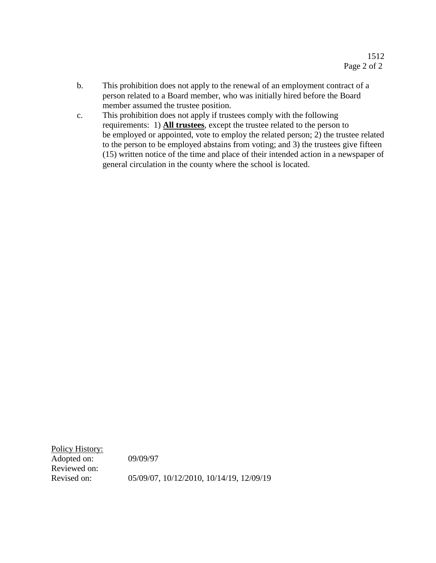- b. This prohibition does not apply to the renewal of an employment contract of a person related to a Board member, who was initially hired before the Board member assumed the trustee position.
- c. This prohibition does not apply if trustees comply with the following requirements: 1) **All trustees**, except the trustee related to the person to be employed or appointed, vote to employ the related person; 2) the trustee related to the person to be employed abstains from voting; and 3) the trustees give fifteen (15) written notice of the time and place of their intended action in a newspaper of general circulation in the county where the school is located.

Policy History: Adopted on: 09/09/97 Reviewed on:

Revised on: 05/09/07, 10/12/2010, 10/14/19, 12/09/19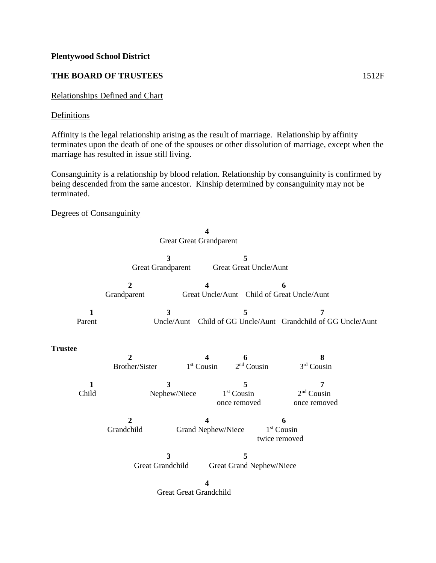## **THE BOARD OF TRUSTEES** 1512F

## Relationships Defined and Chart

### **Definitions**

Affinity is the legal relationship arising as the result of marriage. Relationship by affinity terminates upon the death of one of the spouses or other dissolution of marriage, except when the marriage has resulted in issue still living.

Consanguinity is a relationship by blood relation. Relationship by consanguinity is confirmed by being descended from the same ancestor. Kinship determined by consanguinity may not be terminated.

## Degrees of Consanguinity

|                       |                               | <b>Great Great Grandparent</b> |                                   |                                                 |                                                         |
|-----------------------|-------------------------------|--------------------------------|-----------------------------------|-------------------------------------------------|---------------------------------------------------------|
|                       | <b>Great Grandparent</b>      | 3                              | 5<br>Great Great Uncle/Aunt       |                                                 |                                                         |
|                       | $\overline{2}$<br>Grandparent |                                |                                   | 6<br>Great Uncle/Aunt Child of Great Uncle/Aunt |                                                         |
| 1<br>Parent           |                               | 3<br>Uncle/Aunt                | 5                                 |                                                 | 7<br>Child of GG Uncle/Aunt Grandchild of GG Uncle/Aunt |
| <b>Trustee</b>        | 2<br>Brother/Sister           | $1st$ Cousin                   | 6<br>$2nd$ Cousin                 |                                                 | 8<br>3rd Cousin                                         |
| $\mathbf{1}$<br>Child |                               | 3<br>Nephew/Niece              | 5<br>$1st$ Cousin<br>once removed |                                                 | 7<br>$2nd$ Cousin<br>once removed                       |
|                       | $\overline{2}$<br>Grandchild  | 4<br>Grand Nephew/Niece        |                                   | 6<br>1 <sup>st</sup> Cousin<br>twice removed    |                                                         |
|                       | Great Grandchild              | 3                              | 5<br>Great Grand Nephew/Niece     |                                                 |                                                         |
|                       |                               | <b>Great Great Grandchild</b>  |                                   |                                                 |                                                         |
|                       |                               |                                |                                   |                                                 |                                                         |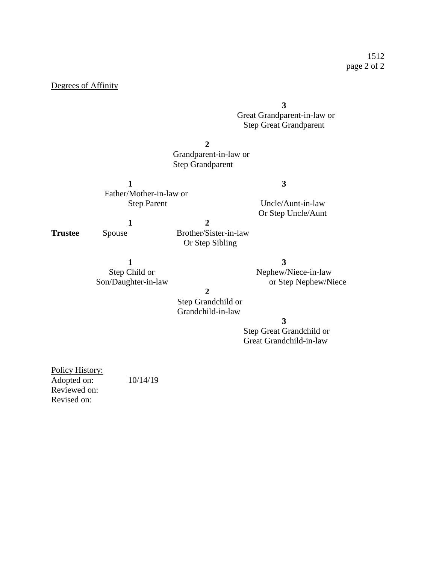### Degrees of Affinity

## **3** Great Grandparent-in-law or Step Great Grandparent

**2**

## Grandparent-in-law or Step Grandparent

**1 3** Father/Mother-in-law or

Step Parent Uncle/Aunt-in-law Or Step Uncle/Aunt

**1 2 Trustee** Spouse Brother/Sister-in-law Or Step Sibling

**1 3**

Step Child or Nephew/Niece-in-law Son/Daughter-in-law or Step Nephew/Niece

**2**

 Step Grandchild or Grandchild-in-law

#### **3**

 Step Great Grandchild or Great Grandchild-in-law

Policy History: Adopted on: 10/14/19 Reviewed on: Revised on: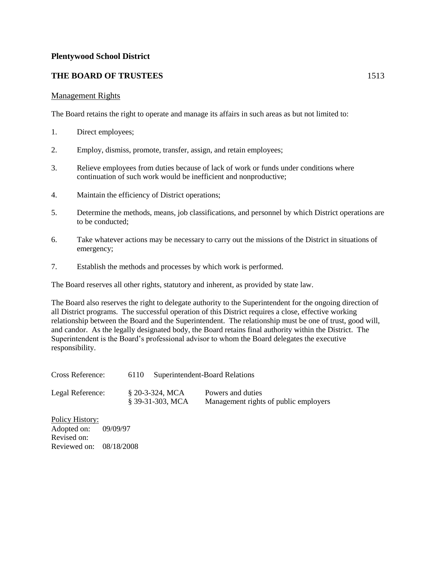## **THE BOARD OF TRUSTEES** 1513

### Management Rights

The Board retains the right to operate and manage its affairs in such areas as but not limited to:

- 1. Direct employees;
- 2. Employ, dismiss, promote, transfer, assign, and retain employees;
- 3. Relieve employees from duties because of lack of work or funds under conditions where continuation of such work would be inefficient and nonproductive;
- 4. Maintain the efficiency of District operations;
- 5. Determine the methods, means, job classifications, and personnel by which District operations are to be conducted;
- 6. Take whatever actions may be necessary to carry out the missions of the District in situations of emergency;
- 7. Establish the methods and processes by which work is performed.

The Board reserves all other rights, statutory and inherent, as provided by state law.

The Board also reserves the right to delegate authority to the Superintendent for the ongoing direction of all District programs. The successful operation of this District requires a close, effective working relationship between the Board and the Superintendent. The relationship must be one of trust, good will, and candor. As the legally designated body, the Board retains final authority within the District. The Superintendent is the Board's professional advisor to whom the Board delegates the executive responsibility.

| Cross Reference: | 6110 |                                      | <b>Superintendent-Board Relations</b>                      |
|------------------|------|--------------------------------------|------------------------------------------------------------|
| Legal Reference: |      | $$20-3-324, MCA$<br>§ 39-31-303. MCA | Powers and duties<br>Management rights of public employers |

Policy History: Adopted on: 09/09/97 Revised on: Reviewed on: 08/18/2008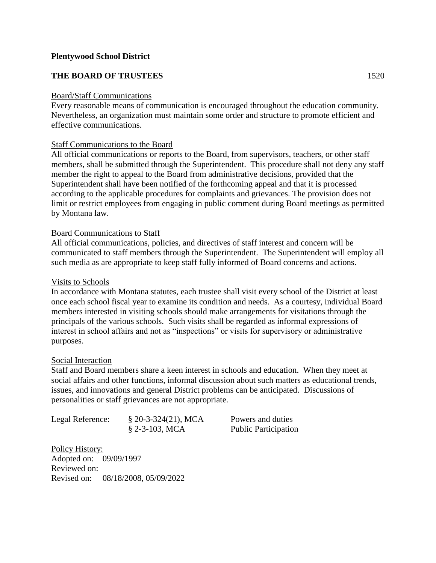## **THE BOARD OF TRUSTEES** 1520

### Board/Staff Communications

Every reasonable means of communication is encouraged throughout the education community. Nevertheless, an organization must maintain some order and structure to promote efficient and effective communications.

### Staff Communications to the Board

All official communications or reports to the Board, from supervisors, teachers, or other staff members, shall be submitted through the Superintendent. This procedure shall not deny any staff member the right to appeal to the Board from administrative decisions, provided that the Superintendent shall have been notified of the forthcoming appeal and that it is processed according to the applicable procedures for complaints and grievances. The provision does not limit or restrict employees from engaging in public comment during Board meetings as permitted by Montana law.

## Board Communications to Staff

All official communications, policies, and directives of staff interest and concern will be communicated to staff members through the Superintendent. The Superintendent will employ all such media as are appropriate to keep staff fully informed of Board concerns and actions.

### Visits to Schools

In accordance with Montana statutes, each trustee shall visit every school of the District at least once each school fiscal year to examine its condition and needs. As a courtesy, individual Board members interested in visiting schools should make arrangements for visitations through the principals of the various schools. Such visits shall be regarded as informal expressions of interest in school affairs and not as "inspections" or visits for supervisory or administrative purposes.

#### Social Interaction

Staff and Board members share a keen interest in schools and education. When they meet at social affairs and other functions, informal discussion about such matters as educational trends, issues, and innovations and general District problems can be anticipated. Discussions of personalities or staff grievances are not appropriate.

| Legal Reference: | $$20-3-324(21), MCA$ | Powers and duties           |
|------------------|----------------------|-----------------------------|
|                  | $$2-3-103$ , MCA     | <b>Public Participation</b> |

Policy History: Adopted on: 09/09/1997 Reviewed on: Revised on: 08/18/2008, 05/09/2022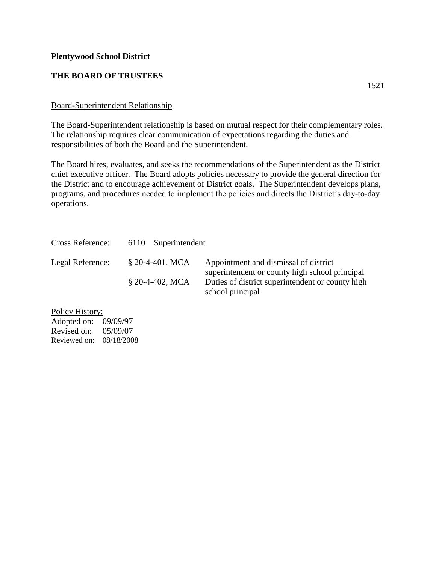## **THE BOARD OF TRUSTEES**

## Board-Superintendent Relationship

The Board-Superintendent relationship is based on mutual respect for their complementary roles. The relationship requires clear communication of expectations regarding the duties and responsibilities of both the Board and the Superintendent.

The Board hires, evaluates, and seeks the recommendations of the Superintendent as the District chief executive officer. The Board adopts policies necessary to provide the general direction for the District and to encourage achievement of District goals. The Superintendent develops plans, programs, and procedures needed to implement the policies and directs the District's day-to-day operations.

| Cross Reference: | 6110 Superintendent |                                                                                         |
|------------------|---------------------|-----------------------------------------------------------------------------------------|
| Legal Reference: | $$20-4-401$ , MCA   | Appointment and dismissal of district<br>superintendent or county high school principal |
|                  | $$20-4-402$ , MCA   | Duties of district superintendent or county high<br>school principal                    |

Policy History: Adopted on: 09/09/97 Revised on: 05/09/07 Reviewed on: 08/18/2008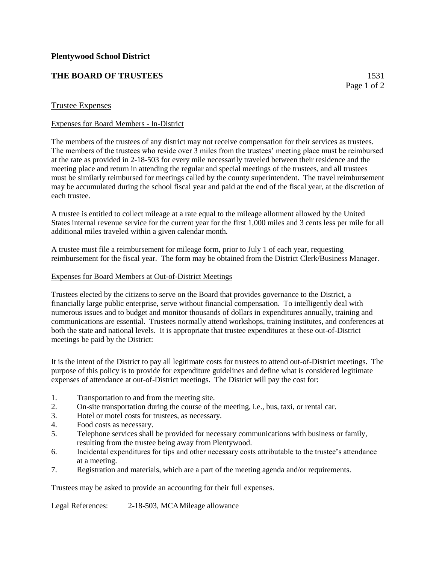## **THE BOARD OF TRUSTEES** 1531

### Trustee Expenses

#### Expenses for Board Members - In-District

The members of the trustees of any district may not receive compensation for their services as trustees. The members of the trustees who reside over 3 miles from the trustees' meeting place must be reimbursed at the rate as provided in 2-18-503 for every mile necessarily traveled between their residence and the meeting place and return in attending the regular and special meetings of the trustees, and all trustees must be similarly reimbursed for meetings called by the county superintendent. The travel reimbursement may be accumulated during the school fiscal year and paid at the end of the fiscal year, at the discretion of each trustee.

A trustee is entitled to collect mileage at a rate equal to the mileage allotment allowed by the United States internal revenue service for the current year for the first 1,000 miles and 3 cents less per mile for all additional miles traveled within a given calendar month.

A trustee must file a reimbursement for mileage form, prior to July 1 of each year, requesting reimbursement for the fiscal year. The form may be obtained from the District Clerk/Business Manager.

#### Expenses for Board Members at Out-of-District Meetings

Trustees elected by the citizens to serve on the Board that provides governance to the District, a financially large public enterprise, serve without financial compensation. To intelligently deal with numerous issues and to budget and monitor thousands of dollars in expenditures annually, training and communications are essential. Trustees normally attend workshops, training institutes, and conferences at both the state and national levels. It is appropriate that trustee expenditures at these out-of-District meetings be paid by the District:

It is the intent of the District to pay all legitimate costs for trustees to attend out-of-District meetings. The purpose of this policy is to provide for expenditure guidelines and define what is considered legitimate expenses of attendance at out-of-District meetings. The District will pay the cost for:

- 1. Transportation to and from the meeting site.
- 2. On-site transportation during the course of the meeting, i.e., bus, taxi, or rental car.
- 3. Hotel or motel costs for trustees, as necessary.
- 4. Food costs as necessary.
- 5. Telephone services shall be provided for necessary communications with business or family, resulting from the trustee being away from Plentywood.
- 6. Incidental expenditures for tips and other necessary costs attributable to the trustee's attendance at a meeting.
- 7. Registration and materials, which are a part of the meeting agenda and/or requirements.

Trustees may be asked to provide an accounting for their full expenses.

Legal References: 2-18-503, MCAMileage allowance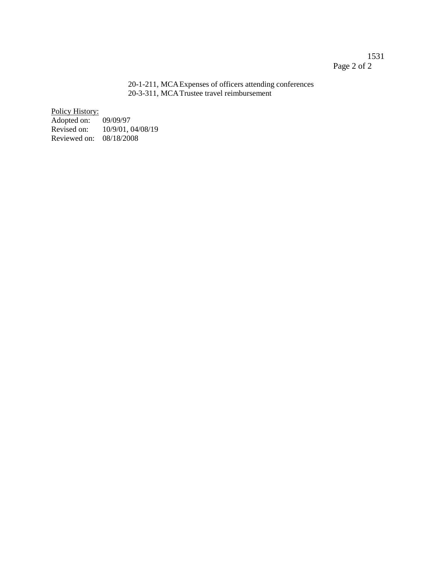## 1531 Page 2 of 2

#### 20-1-211, MCAExpenses of officers attending conferences 20-3-311, MCATrustee travel reimbursement

Policy History:

Adopted on: 09/09/97 10/9/01, 04/08/19 Reviewed on: 08/18/2008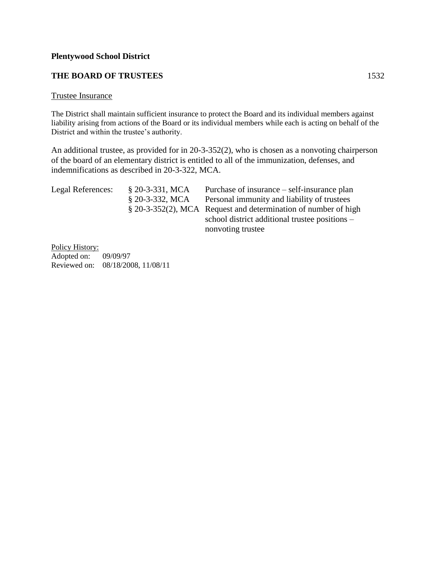## **THE BOARD OF TRUSTEES** 1532

#### Trustee Insurance

The District shall maintain sufficient insurance to protect the Board and its individual members against liability arising from actions of the Board or its individual members while each is acting on behalf of the District and within the trustee's authority.

An additional trustee, as provided for in 20-3-352(2), who is chosen as a nonvoting chairperson of the board of an elementary district is entitled to all of the immunization, defenses, and indemnifications as described in 20-3-322, MCA.

| $$20-3-331, MCA$ | Purchase of insurance – self-insurance plan                    |
|------------------|----------------------------------------------------------------|
| $$20-3-332, MCA$ | Personal immunity and liability of trustees                    |
|                  | § 20-3-352(2), MCA Request and determination of number of high |
|                  | school district additional trustee positions –                 |
|                  | nonvoting trustee                                              |
|                  |                                                                |

Policy History: Adopted on: 09/09/97 Reviewed on: 08/18/2008, 11/08/11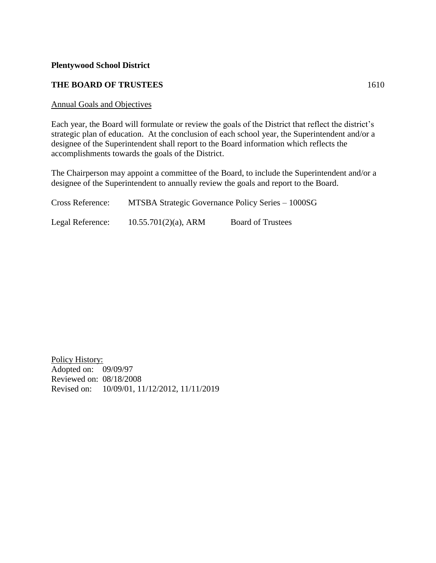### **THE BOARD OF TRUSTEES** 1610

#### Annual Goals and Objectives

Each year, the Board will formulate or review the goals of the District that reflect the district's strategic plan of education. At the conclusion of each school year, the Superintendent and/or a designee of the Superintendent shall report to the Board information which reflects the accomplishments towards the goals of the District.

The Chairperson may appoint a committee of the Board, to include the Superintendent and/or a designee of the Superintendent to annually review the goals and report to the Board.

| Cross Reference: |                         | MTSBA Strategic Governance Policy Series – 1000SG |
|------------------|-------------------------|---------------------------------------------------|
| Legal Reference: | $10.55.701(2)(a)$ , ARM | <b>Board of Trustees</b>                          |

Policy History: Adopted on: 09/09/97 Reviewed on: 08/18/2008 Revised on: 10/09/01, 11/12/2012, 11/11/2019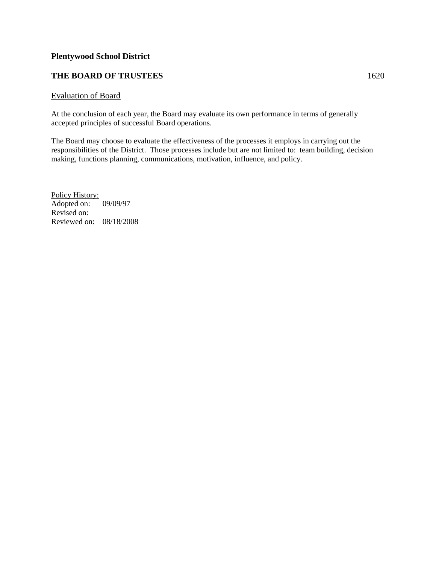## **THE BOARD OF TRUSTEES** 1620

#### Evaluation of Board

At the conclusion of each year, the Board may evaluate its own performance in terms of generally accepted principles of successful Board operations.

The Board may choose to evaluate the effectiveness of the processes it employs in carrying out the responsibilities of the District. Those processes include but are not limited to: team building, decision making, functions planning, communications, motivation, influence, and policy.

Policy History: Adopted on: 09/09/97 Revised on: Reviewed on: 08/18/2008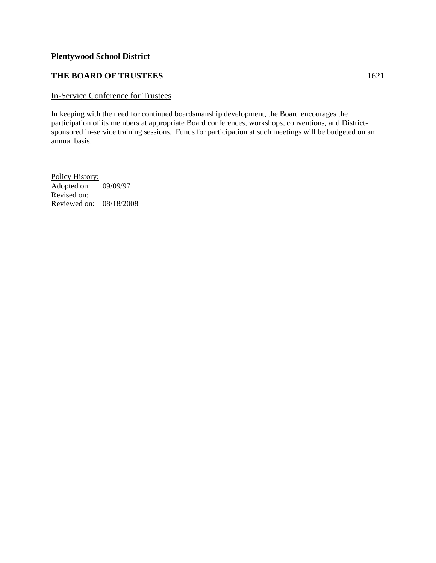## **THE BOARD OF TRUSTEES** 1621

#### In-Service Conference for Trustees

In keeping with the need for continued boardsmanship development, the Board encourages the participation of its members at appropriate Board conferences, workshops, conventions, and Districtsponsored in-service training sessions. Funds for participation at such meetings will be budgeted on an annual basis.

Policy History: Adopted on: 09/09/97 Revised on: Reviewed on: 08/18/2008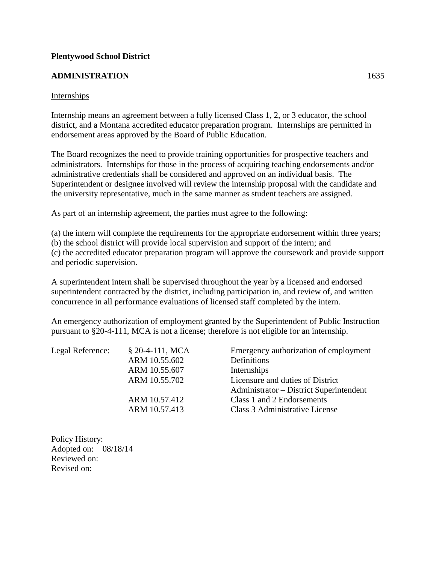## **ADMINISTRATION** 1635

## **Internships**

Internship means an agreement between a fully licensed Class 1, 2, or 3 educator, the school district, and a Montana accredited educator preparation program. Internships are permitted in endorsement areas approved by the Board of Public Education.

The Board recognizes the need to provide training opportunities for prospective teachers and administrators. Internships for those in the process of acquiring teaching endorsements and/or administrative credentials shall be considered and approved on an individual basis. The Superintendent or designee involved will review the internship proposal with the candidate and the university representative, much in the same manner as student teachers are assigned.

As part of an internship agreement, the parties must agree to the following:

(a) the intern will complete the requirements for the appropriate endorsement within three years;

(b) the school district will provide local supervision and support of the intern; and

(c) the accredited educator preparation program will approve the coursework and provide support and periodic supervision.

A superintendent intern shall be supervised throughout the year by a licensed and endorsed superintendent contracted by the district, including participation in, and review of, and written concurrence in all performance evaluations of licensed staff completed by the intern.

An emergency authorization of employment granted by the Superintendent of Public Instruction pursuant to §20-4-111, MCA is not a license; therefore is not eligible for an internship.

| Legal Reference: | $$20-4-111, MCA$<br>ARM 10.55.602 | Emergency authorization of employment<br>Definitions |
|------------------|-----------------------------------|------------------------------------------------------|
|                  | ARM 10.55.607                     | Internships                                          |
|                  | ARM 10.55.702                     | Licensure and duties of District                     |
|                  |                                   | Administrator - District Superintendent              |
|                  | ARM 10.57.412                     | Class 1 and 2 Endorsements                           |
|                  | ARM 10.57.413                     | Class 3 Administrative License                       |
|                  |                                   |                                                      |

Policy History: Adopted on: 08/18/14 Reviewed on: Revised on: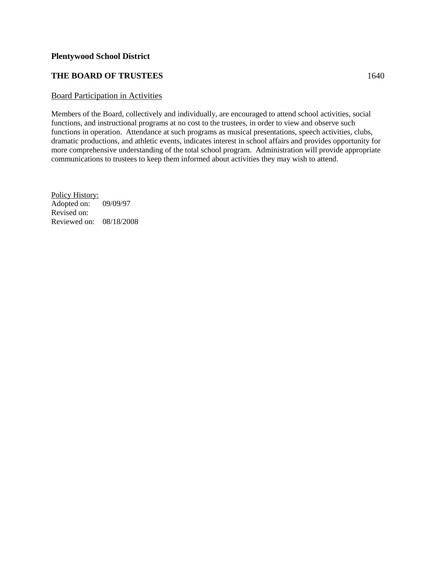## **THE BOARD OF TRUSTEES** 1640

#### Board Participation in Activities

Members of the Board, collectively and individually, are encouraged to attend school activities, social functions, and instructional programs at no cost to the trustees, in order to view and observe such functions in operation. Attendance at such programs as musical presentations, speech activities, clubs, dramatic productions, and athletic events, indicates interest in school affairs and provides opportunity for more comprehensive understanding of the total school program. Administration will provide appropriate communications to trustees to keep them informed about activities they may wish to attend.

Policy History: Adopted on: 09/09/97 Revised on: Reviewed on: 08/18/2008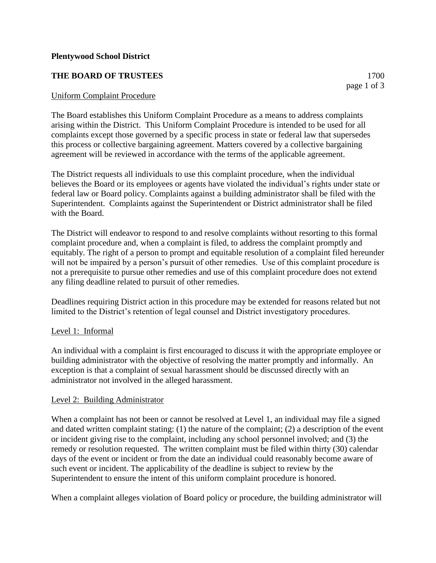## **THE BOARD OF TRUSTEES** 1700

Uniform Complaint Procedure

The Board establishes this Uniform Complaint Procedure as a means to address complaints arising within the District. This Uniform Complaint Procedure is intended to be used for all complaints except those governed by a specific process in state or federal law that supersedes this process or collective bargaining agreement. Matters covered by a collective bargaining agreement will be reviewed in accordance with the terms of the applicable agreement.

The District requests all individuals to use this complaint procedure, when the individual believes the Board or its employees or agents have violated the individual's rights under state or federal law or Board policy. Complaints against a building administrator shall be filed with the Superintendent. Complaints against the Superintendent or District administrator shall be filed with the Board.

The District will endeavor to respond to and resolve complaints without resorting to this formal complaint procedure and, when a complaint is filed, to address the complaint promptly and equitably. The right of a person to prompt and equitable resolution of a complaint filed hereunder will not be impaired by a person's pursuit of other remedies. Use of this complaint procedure is not a prerequisite to pursue other remedies and use of this complaint procedure does not extend any filing deadline related to pursuit of other remedies.

Deadlines requiring District action in this procedure may be extended for reasons related but not limited to the District's retention of legal counsel and District investigatory procedures.

## Level 1: Informal

An individual with a complaint is first encouraged to discuss it with the appropriate employee or building administrator with the objective of resolving the matter promptly and informally. An exception is that a complaint of sexual harassment should be discussed directly with an administrator not involved in the alleged harassment.

#### Level 2: Building Administrator

When a complaint has not been or cannot be resolved at Level 1, an individual may file a signed and dated written complaint stating: (1) the nature of the complaint; (2) a description of the event or incident giving rise to the complaint, including any school personnel involved; and (3) the remedy or resolution requested. The written complaint must be filed within thirty (30) calendar days of the event or incident or from the date an individual could reasonably become aware of such event or incident. The applicability of the deadline is subject to review by the Superintendent to ensure the intent of this uniform complaint procedure is honored.

When a complaint alleges violation of Board policy or procedure, the building administrator will

page 1 of 3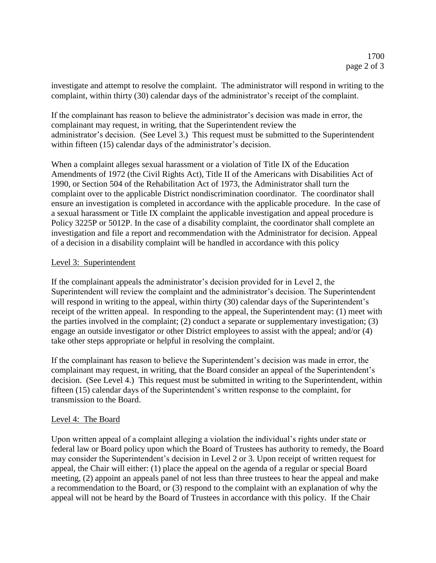investigate and attempt to resolve the complaint. The administrator will respond in writing to the complaint, within thirty (30) calendar days of the administrator's receipt of the complaint.

If the complainant has reason to believe the administrator's decision was made in error, the complainant may request, in writing, that the Superintendent review the administrator's decision. (See Level 3.) This request must be submitted to the Superintendent within fifteen (15) calendar days of the administrator's decision.

When a complaint alleges sexual harassment or a violation of Title IX of the Education Amendments of 1972 (the Civil Rights Act), Title II of the Americans with Disabilities Act of 1990, or Section 504 of the Rehabilitation Act of 1973, the Administrator shall turn the complaint over to the applicable District nondiscrimination coordinator. The coordinator shall ensure an investigation is completed in accordance with the applicable procedure. In the case of a sexual harassment or Title IX complaint the applicable investigation and appeal procedure is Policy 3225P or 5012P. In the case of a disability complaint, the coordinator shall complete an investigation and file a report and recommendation with the Administrator for decision. Appeal of a decision in a disability complaint will be handled in accordance with this policy

## Level 3: Superintendent

If the complainant appeals the administrator's decision provided for in Level 2, the Superintendent will review the complaint and the administrator's decision. The Superintendent will respond in writing to the appeal, within thirty (30) calendar days of the Superintendent's receipt of the written appeal. In responding to the appeal, the Superintendent may: (1) meet with the parties involved in the complaint; (2) conduct a separate or supplementary investigation; (3) engage an outside investigator or other District employees to assist with the appeal; and/or (4) take other steps appropriate or helpful in resolving the complaint.

If the complainant has reason to believe the Superintendent's decision was made in error, the complainant may request, in writing, that the Board consider an appeal of the Superintendent's decision. (See Level 4.) This request must be submitted in writing to the Superintendent, within fifteen (15) calendar days of the Superintendent's written response to the complaint, for transmission to the Board.

## Level 4: The Board

Upon written appeal of a complaint alleging a violation the individual's rights under state or federal law or Board policy upon which the Board of Trustees has authority to remedy, the Board may consider the Superintendent's decision in Level 2 or 3. Upon receipt of written request for appeal, the Chair will either: (1) place the appeal on the agenda of a regular or special Board meeting, (2) appoint an appeals panel of not less than three trustees to hear the appeal and make a recommendation to the Board, or (3) respond to the complaint with an explanation of why the appeal will not be heard by the Board of Trustees in accordance with this policy. If the Chair